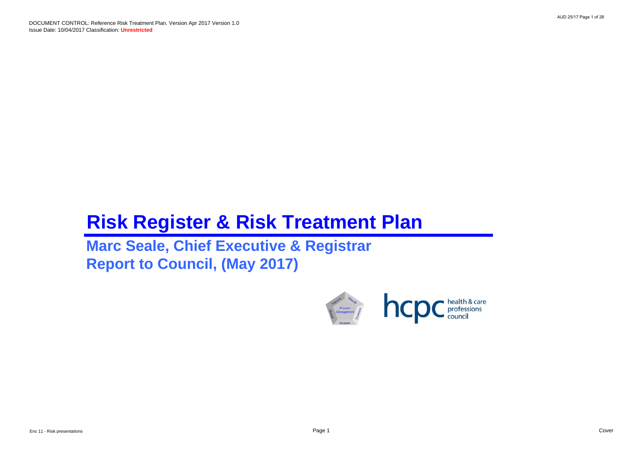DOCUMENT CONTROL: Reference Risk Treatment Plan. Version Apr 2017 Version 1.0 Issue Date: 10/04/2017 Classification: **Unrestricted**

# **Risk Register & Risk Treatment Plan**

**Marc Seale, Chief Executive & Registrar Report to Council, (May 2017)**

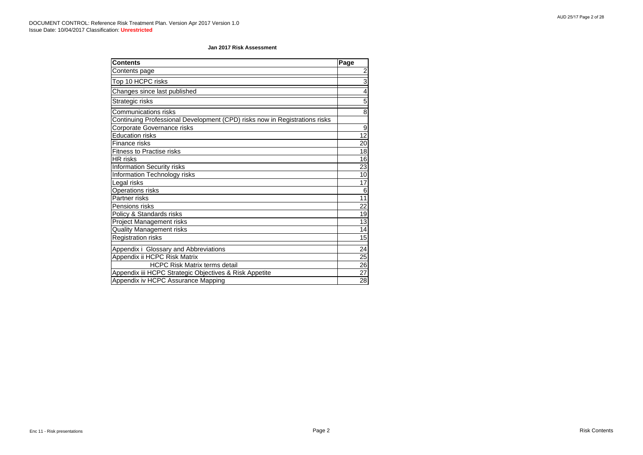| <b>Contents</b>                                                            | Page            |
|----------------------------------------------------------------------------|-----------------|
| Contents page                                                              | $\overline{2}$  |
| Top 10 HCPC risks                                                          | 3               |
| Changes since last published                                               | 4               |
| Strategic risks                                                            | 5               |
| <b>Communications risks</b>                                                | 8               |
| Continuing Professional Development (CPD) risks now in Registrations risks |                 |
| Corporate Governance risks                                                 | 9               |
| <b>Education risks</b>                                                     | $\overline{12}$ |
| <b>Finance risks</b>                                                       | 20              |
| <b>Fitness to Practise risks</b>                                           | 18              |
| <b>HR</b> risks                                                            | 16              |
| <b>Information Security risks</b>                                          | 23              |
| <b>Information Technology risks</b>                                        | 10              |
| Legal risks                                                                | 17              |
| <b>Operations risks</b>                                                    | 6               |
| Partner risks                                                              | 11              |
| Pensions risks                                                             | 22              |
| Policy & Standards risks                                                   | 19              |
| <b>Project Management risks</b>                                            | 13              |
| <b>Quality Management risks</b>                                            | 14              |
| <b>Registration risks</b>                                                  | 15              |
| Appendix i Glossary and Abbreviations                                      | 24              |
| Appendix ii HCPC Risk Matrix                                               | 25              |
| <b>HCPC Risk Matrix terms detail</b>                                       | $\overline{26}$ |
| Appendix iii HCPC Strategic Objectives & Risk Appetite                     | 27              |
| Appendix iv HCPC Assurance Mapping                                         | 28              |

### **Jan 2017 Risk Assessment**

AUD 25/17 Page 2 of 28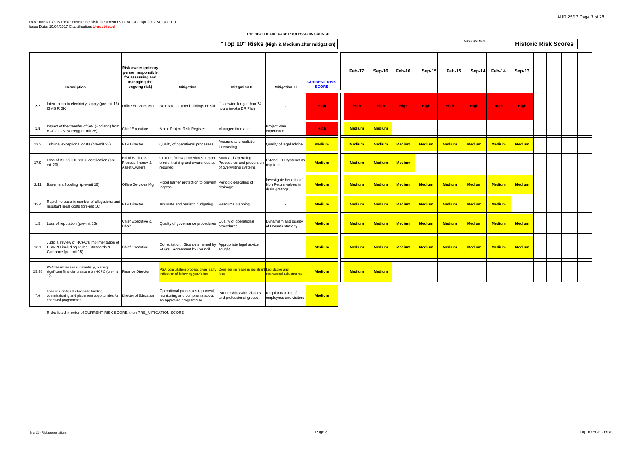|       |                                                                                                                                      |                                                                                                        |                                                                                                                                 | "Top 10" Risks (High & Medium after mitigation)                                  |                                                                    |                                     |               |               |               |               |               | <b>ASSESSMEN</b> |               | <b>Historic Risk Scores</b> |  |  |
|-------|--------------------------------------------------------------------------------------------------------------------------------------|--------------------------------------------------------------------------------------------------------|---------------------------------------------------------------------------------------------------------------------------------|----------------------------------------------------------------------------------|--------------------------------------------------------------------|-------------------------------------|---------------|---------------|---------------|---------------|---------------|------------------|---------------|-----------------------------|--|--|
|       | <b>Description</b>                                                                                                                   | <b>Risk owner (primary</b><br>person responsible<br>for assessing and<br>managing the<br>ongoing risk) | <b>Mitigation I</b>                                                                                                             | <b>Mitigation II</b>                                                             | <b>Mitigation III</b>                                              | <b>CURRENT RISK</b><br><b>SCORE</b> | Feb-17        | Sep-16        | Feb-16        | $Sep-15$      | <b>Feb-15</b> | Sep-14           | Feb-14        | Sep-13                      |  |  |
| 2.7   | nterruption to electricity supply (pre-mit 16)<br><b>ISMS RISK</b>                                                                   | Office Services Mgr                                                                                    | Relocate to other buildings on site                                                                                             | If site wide longer than 24<br>hours invoke DR Plan                              |                                                                    | <b>High</b>                         | <b>High</b>   | <b>High</b>   | <b>High</b>   | <b>High</b>   | <b>High</b>   | <b>High</b>      | <b>High</b>   | <b>High</b>                 |  |  |
| 1.8   | mpact of the transfer of SW (England) from<br>ICPC to New Reg(pre-mit 25)                                                            | <b>Chief Executive</b>                                                                                 | Major Project Risk Register                                                                                                     | Managed timetable                                                                | Project Plan<br>experience                                         | <b>High</b>                         | <b>Medium</b> | <b>Medium</b> |               |               |               |                  |               |                             |  |  |
| 13.3  | Tribunal exceptional costs (pre-mit 25)                                                                                              | <b>FTP Director</b>                                                                                    | Quality of operational processes                                                                                                | Accurate and realistic<br>forecasting                                            | Quality of legal advice                                            | <b>Medium</b>                       | <b>Medium</b> | <b>Medium</b> | <b>Medium</b> | <b>Medium</b> | <b>Medium</b> | <b>Medium</b>    | <b>Medium</b> | <b>Medium</b>               |  |  |
| 17.9  | -oss of ISO27001 :2013 certification (pre-<br>mit 20)                                                                                | Id of Business<br>Process Improv &<br>Asset Owners                                                     | Culture, follow procedures, report<br>errors, training and awareness as<br>required                                             | <b>Standard Operating</b><br>Procedures and prevention<br>of overwriting systems | Extend ISO systems as<br>required                                  | <b>Medium</b>                       | <b>Medium</b> | <b>Medium</b> | <b>Medium</b> |               |               |                  |               |                             |  |  |
| 2.11  | Basement flooding (pre-mit 16)                                                                                                       | Office Services Mgr                                                                                    | Flood barrier protection to prevent Periodic descaling of<br>ngress                                                             | drainage                                                                         | Investigate benefits of<br>Non Return valves in<br>drain gratings. | <b>Medium</b>                       | <b>Medium</b> | <b>Medium</b> | <b>Medium</b> | <b>Medium</b> | <b>Medium</b> | <b>Medium</b>    | <b>Medium</b> | <b>Medium</b>               |  |  |
| 13.4  | Rapid increase in number of allegations and<br>resultant legal costs (pre-mit 16)                                                    | FTP Director                                                                                           | Accurate and realistic budgeting                                                                                                | Resource planning                                                                |                                                                    | <b>Medium</b>                       | <b>Medium</b> | <b>Medium</b> | <b>Medium</b> | <b>Medium</b> | <b>Medium</b> | <b>Medium</b>    | <b>Medium</b> |                             |  |  |
| 1.5   | Loss of reputation (pre-mit 15)                                                                                                      | Chief Executive &<br>Chair                                                                             | Quality of governance procedures                                                                                                | Quality of operational<br>procedures                                             | Dynamism and quality<br>of Comms strategy                          | <b>Medium</b>                       | <b>Medium</b> | <b>Medium</b> | <b>Medium</b> | <b>Medium</b> | <b>Medium</b> | <b>Medium</b>    | <b>Medium</b> | <b>Medium</b>               |  |  |
| 12.1  | Judicial review of HCPC's implimentation of<br>HSWPO including Rules, Standards &<br>Guidance (pre-mit 15)                           | <b>Chief Executive</b>                                                                                 | Consultation. Stds determined by<br>PLG's. Agreement by Council.                                                                | Appropriate legal advice<br>sought                                               |                                                                    | <b>Medium</b>                       | <b>Medium</b> | <b>Medium</b> | <b>Medium</b> | <b>Medium</b> | <b>Medium</b> | <b>Medium</b>    | <b>Medium</b> | <b>Medium</b>               |  |  |
| 15.28 | PSA fee increases substantially, placing<br>significant financial pressure on HCPC (pre-mit Finance Director<br>12)                  |                                                                                                        | <b>SA consultation process gives early Consider increase in registrant Legislative and</b><br>ndication of following year's fee | ees                                                                              | operational adjustments                                            | <b>Medium</b>                       | <b>Medium</b> | <b>Medium</b> |               |               |               |                  |               |                             |  |  |
| 7.6   | Loss or significant change to funding,<br>commissioning and placement opportunities for Director of Education<br>approved programmes |                                                                                                        | Operational processes (approval,<br>monitoring and complaints about<br>an approved programme)                                   | Partnerships with Visitors<br>and professional groups.                           | Regular training of<br>employees and visitors                      | <b>Medium</b>                       |               |               |               |               |               |                  |               |                             |  |  |

Risks listed in order of CURRENT RISK SCORE, then PRE\_MITIGATION SCORE

#### **THE HEALTH AND CARE PROFESSIONS COUNCIL**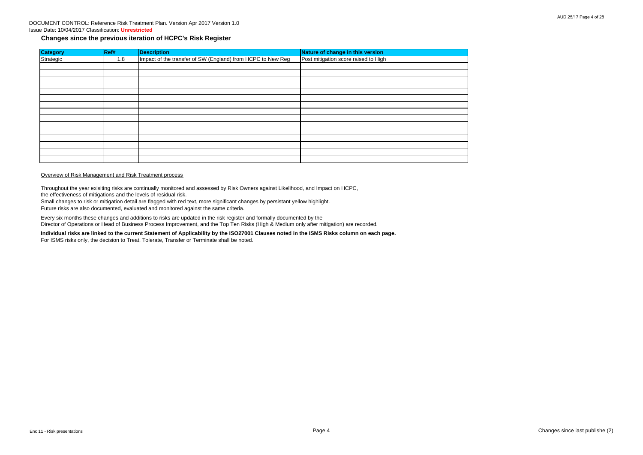# DOCUMENT CONTROL: Reference Risk Treatment Plan. Version Apr 2017 Version 1.0 Issue Date: 10/04/2017 Classification: **Unrestricted**

# **Changes since the previous iteration of HCPC's Risk Register**

| <b>Category</b> | Ref# | <b>Description</b>                                          | Nature of change in this version     |
|-----------------|------|-------------------------------------------------------------|--------------------------------------|
| Strategic       | 1.8  | Impact of the transfer of SW (England) from HCPC to New Reg | Post mitigation score raised to High |
|                 |      |                                                             |                                      |
|                 |      |                                                             |                                      |
|                 |      |                                                             |                                      |
|                 |      |                                                             |                                      |
|                 |      |                                                             |                                      |
|                 |      |                                                             |                                      |
|                 |      |                                                             |                                      |
|                 |      |                                                             |                                      |
|                 |      |                                                             |                                      |
|                 |      |                                                             |                                      |
|                 |      |                                                             |                                      |
|                 |      |                                                             |                                      |
|                 |      |                                                             |                                      |
|                 |      |                                                             |                                      |

# Overview of Risk Management and Risk Treatment process

Throughout the year exisiting risks are continually monitored and assessed by Risk Owners against Likelihood, and Impact on HCPC, the effectiveness of mitigations and the levels of residual risk.

Small changes to risk or mitigation detail are flagged with red text, more significant changes by persistant yellow highlight. Future risks are also documented, evaluated and monitored against the same criteria.

Every six months these changes and additions to risks are updated in the risk register and formally documented by the Director of Operations or Head of Business Process Improvement, and the Top Ten Risks (High & Medium only after mitigation) are recorded.

**Individual risks are linked to the current Statement of Applicability by the ISO27001 Clauses noted in the ISMS Risks column on each page.** For ISMS risks only, the decision to Treat, Tolerate, Transfer or Terminate shall be noted.

Enc 11 - Risk presentations Page 4 Changes since last publishe (2)

# AUD 25/17 Page 4 of 28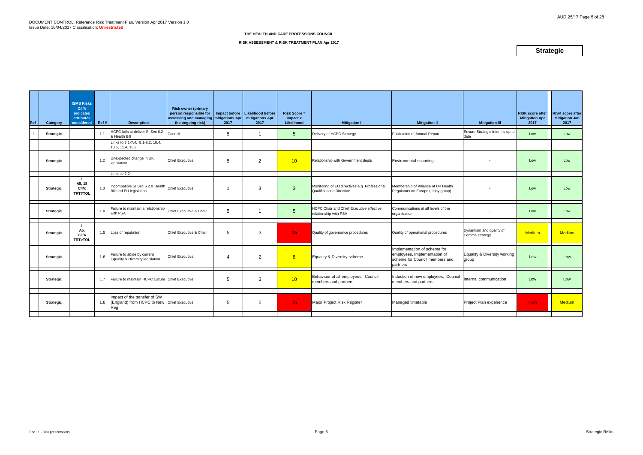| Ref          | Category         | <b>ISMS Risks</b><br>C/VA<br><b>indicates</b><br><b>attributes</b><br>considered | Ref # | <b>Description</b>                                                                | <b>Risk owner (primary</b><br>person responsible for<br>assessing and managing mitigations Apr<br>the ongoing risk) | Impact before<br>2017 | Likelihood before<br>mitigations Apr<br>2017 | <b>Risk Score =</b><br>Impact x<br>Likelihood | <b>Mitigation I</b>                                                              | <b>Mitigation II</b>                                                                                       | <b>Mitigation III</b>                     | <b>RISK score after</b><br><b>Mitigation Apr</b><br>2017 | <b>RISK score after</b><br>Mitigation Jan<br>2017 |
|--------------|------------------|----------------------------------------------------------------------------------|-------|-----------------------------------------------------------------------------------|---------------------------------------------------------------------------------------------------------------------|-----------------------|----------------------------------------------|-----------------------------------------------|----------------------------------------------------------------------------------|------------------------------------------------------------------------------------------------------------|-------------------------------------------|----------------------------------------------------------|---------------------------------------------------|
| $\mathbf{1}$ | <b>Strategic</b> |                                                                                  | 1.1   | HCPC fails to deliver SI Sec 6.2<br>& Health Bill                                 | Council                                                                                                             | 5                     |                                              | $5\phantom{.0}$                               | Delivery of HCPC Strategy                                                        | Publication of Annual Report                                                                               | Ensure Strategic Intent is up to<br>date  | Low                                                      | Low                                               |
|              |                  |                                                                                  |       | Links to 7.1-7.4, 8.1-8.2, 10.4,<br>10.5, 11.4, 15.9                              |                                                                                                                     |                       |                                              |                                               |                                                                                  |                                                                                                            |                                           |                                                          |                                                   |
|              | <b>Strategic</b> |                                                                                  | 1.2   | Unexpected change in UK<br>legislation                                            | <b>Chief Executive</b>                                                                                              | 5                     | 2                                            | 10                                            | Relationship with Government depts                                               | <b>Enviromental scanning</b>                                                                               |                                           | Low                                                      | Low                                               |
|              |                  |                                                                                  |       | Links to 2.2,                                                                     |                                                                                                                     |                       |                                              |                                               |                                                                                  |                                                                                                            |                                           |                                                          |                                                   |
|              | <b>Strategic</b> | A5, 18<br>C/1/x<br>TRT?TOL                                                       | 1.3   | Incompatible SI Sec 6.2 & Health<br>Bill and EU legislation                       | <b>Chief Executive</b>                                                                                              |                       | 3                                            | $\mathbf{3}$                                  | Monitoring of EU directives e.g. Professional<br><b>Qualifications Directive</b> | Membership of Alliance of UK Health<br>Regulators on Europe (lobby group)                                  |                                           | Low                                                      | Low                                               |
|              | <b>Strategic</b> |                                                                                  | 1.4   | Failure to maintain a relationship<br>with PSA                                    | Chief Executive & Chair                                                                                             | 5                     |                                              | $\overline{5}$                                | <b>HCPC Chair and Chief Executive effective</b><br>relationship with PSA         | Communications at all levels of the<br>organisation                                                        |                                           | Low                                                      | Low                                               |
|              | <b>Strategic</b> | A5,<br>C/I/A<br>TRT>TOL                                                          | 1.5   | Loss of reputation                                                                | Chief Executive & Chair                                                                                             | 5                     | 3                                            | 15 <sub>1</sub>                               | Quality of governance procedures                                                 | Quality of operational procedures                                                                          | Dynamism and quality of<br>Comms strategy | Medium                                                   | <b>Medium</b>                                     |
|              | <b>Strategic</b> |                                                                                  | 1.6   | Failure to abide by current<br>Equality & Diversity legislation                   | <b>Chief Executive</b>                                                                                              | $\overline{A}$        | 2                                            | 8                                             | Equality & Diversity scheme                                                      | Implementation of scheme for<br>employees, Implementation of<br>scheme for Council members and<br>partners | Equality & Diversity working<br>group     | Low                                                      | Low                                               |
|              | <b>Strategic</b> |                                                                                  | 1.7   | Failure to maintain HCPC culture Chief Executive                                  |                                                                                                                     | 5                     | 2                                            | 10                                            | Behaviour of all employees, Council<br>members and partners                      | Induction of new employees, Council<br>members and partners                                                | Internal communication                    | Low                                                      | Low                                               |
|              | <b>Strategic</b> |                                                                                  | 1.8   | Impact of the transfer of SW<br>(England) from HCPC to New Chief Executive<br>Reg |                                                                                                                     | 5                     | 5                                            | 25                                            | Major Project Risk Register                                                      | Managed timetable                                                                                          | Project Plan experience                   | High                                                     | <b>Medium</b>                                     |
|              |                  |                                                                                  |       |                                                                                   |                                                                                                                     |                       |                                              |                                               |                                                                                  |                                                                                                            |                                           |                                                          |                                                   |

**RISK ASSESSMENT & RISK TREATMENT PLAN Apr 2017**

# **Strategic**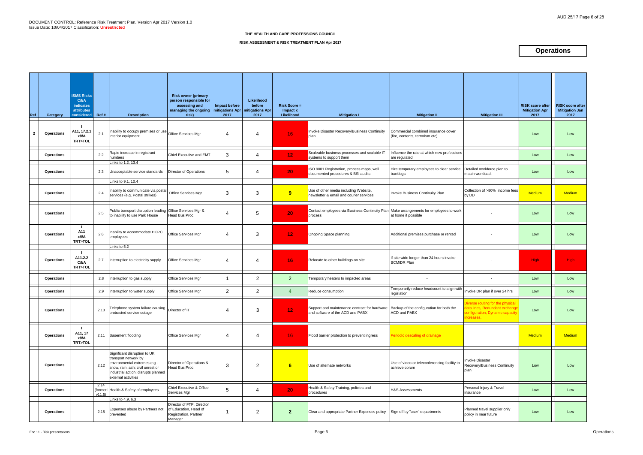| Ref          | Category          | <b>ISMS Risks</b><br><b>C/I/A</b><br><b>indicates</b><br>attributes<br>considered Ref# |               | <b>Description</b>                                                                                                                                                                   | <b>Risk owner (primary</b><br>person responsible for<br>assessing and<br>managing the ongoing<br>risk) | Impact before<br>mitigations Apr<br>2017 | Likelihood<br>before<br><b>mitigations Apr</b><br>2017 | <b>Risk Score =</b><br>Impact x<br>Likelihood | <b>Mitigation I</b>                                                                                                        | <b>Mitigation II</b>                                                   | <b>Mitigation III</b>                                                                                            | <b>RISK score after</b><br><b>Mitigation Apr</b><br>2017 | <b>RISK score after</b><br><b>Mitigation Jan</b><br>2017 |
|--------------|-------------------|----------------------------------------------------------------------------------------|---------------|--------------------------------------------------------------------------------------------------------------------------------------------------------------------------------------|--------------------------------------------------------------------------------------------------------|------------------------------------------|--------------------------------------------------------|-----------------------------------------------|----------------------------------------------------------------------------------------------------------------------------|------------------------------------------------------------------------|------------------------------------------------------------------------------------------------------------------|----------------------------------------------------------|----------------------------------------------------------|
| $\mathbf{2}$ | <b>Operations</b> | A11, 17.2.<br>x/I/A<br><b>TRT&gt;TOL</b>                                               | 2.1           | Inability to occupy premises or use Office Services Mgr<br>interior equipment                                                                                                        |                                                                                                        | $\overline{4}$                           | 4                                                      | 16 <sub>1</sub>                               | Invoke Disaster Recovery/Business Continuity<br>plan                                                                       | Commercial combined insurance cover<br>(fire, contents, terrorism etc) |                                                                                                                  | Low                                                      | Low                                                      |
|              | <b>Operations</b> |                                                                                        | 2.2           | Rapid increase in registrant<br>numbers<br>Links to 1.2, 13.4                                                                                                                        | <b>Chief Executive and EMT</b>                                                                         | 3                                        | 4                                                      | 12 <sub>1</sub>                               | Scaleable business processes and scalable IT<br>systems to support them                                                    | Influence the rate at which new professions<br>are regulated           |                                                                                                                  | Low                                                      | Low                                                      |
|              | <b>Operations</b> |                                                                                        | 2.3           | Unacceptable service standards                                                                                                                                                       | Director of Operations                                                                                 | $5\phantom{.0}$                          | 4                                                      | 20                                            | ISO 9001 Registration, process maps, well<br>documented procedures & BSI audits                                            | Hire temporary employees to clear service<br>backlogs                  | Detailed workforce plan to<br>match workload.                                                                    | Low                                                      | Low                                                      |
|              | <b>Operations</b> |                                                                                        | 2.4           | Links to 9.1, 10.4<br>Inability to communicate via postal<br>services (e.g. Postal strikes)                                                                                          | Office Services Mgr                                                                                    | 3                                        | 3                                                      | 9                                             | Use of other media including Website,<br>newsletter & email and courier services                                           | Invoke Business Continuity Plan                                        | Collection of >80% income fees<br>by DD                                                                          | Medium                                                   | <b>Medium</b>                                            |
|              | <b>Operations</b> |                                                                                        | 2.5           | Public transport disruption leading Office Services Mgr &<br>to inability to use Park House                                                                                          | Head Bus Proc                                                                                          | $\overline{4}$                           | 5                                                      | 20                                            | Contact employees via Business Continuity Plan Make arrangements for employees to work<br>process                          | at home if possible                                                    |                                                                                                                  | Low                                                      | Low                                                      |
|              | <b>Operations</b> | -1<br>A11<br>x/I/A<br>TRT>TOL                                                          | 2.6           | Inability to accommodate HCPC<br>employees                                                                                                                                           | Office Services Mgr                                                                                    | $\overline{4}$                           | 3                                                      | 12 <sub>1</sub>                               | Ongoing Space planning                                                                                                     | Additional premises purchase or rented                                 |                                                                                                                  | Low                                                      | Low                                                      |
|              | <b>Operations</b> | A11.2.2<br>C/I/A<br><b>TRT&gt;TOL</b>                                                  | 2.7           | Links to 5.2<br>Interruption to electricity supply                                                                                                                                   | Office Services Mgr                                                                                    | $\overline{4}$                           | 4                                                      | 16 <sub>1</sub>                               | Relocate to other buildings on site                                                                                        | If site wide longer than 24 hours invoke<br><b>BCM/DR Plan</b>         |                                                                                                                  | High                                                     | High                                                     |
|              | <b>Operations</b> |                                                                                        | 2.8           | Interruption to gas supply                                                                                                                                                           | Office Services Mgr                                                                                    | -1                                       | 2                                                      | 2 <sup>2</sup>                                | Temporary heaters to impacted areas                                                                                        |                                                                        |                                                                                                                  | Low                                                      | Low                                                      |
|              | <b>Operations</b> |                                                                                        | 2.9           | Interruption to water supply                                                                                                                                                         | Office Services Mgr                                                                                    | $\overline{2}$                           | $\overline{2}$                                         | $\overline{4}$                                | Reduce consumption                                                                                                         | Temporarily reduce headcount to align with<br>legislation              | Invoke DR plan if over 24 hrs                                                                                    | Low                                                      | Low                                                      |
|              | <b>Operations</b> |                                                                                        | 2.10          | Telephone system failure causing<br>protracted service outage                                                                                                                        | Director of IT                                                                                         | 4                                        | 3                                                      | 12 <sub>2</sub>                               | Support and maintenance contract for hardware Backup of the configuration for both the<br>and software of the ACD and PABX | ACD and PABX                                                           | Diverse routing for the physical<br>ata lines, Redundant exchange<br>configuration, Dynamic capacity<br>creases. | Low                                                      | Low                                                      |
|              | <b>Operations</b> | A11, 17<br>x/I/A<br><b>TRT&gt;TOL</b>                                                  |               | 2.11 Basement flooding                                                                                                                                                               | Office Services Mgr                                                                                    | 4                                        | 4                                                      | 16 <sup>1</sup>                               | Flood barrier protection to prevent ingress                                                                                | Periodic descaling of drainage                                         |                                                                                                                  | <b>Medium</b>                                            | <b>Medium</b>                                            |
|              | <b>Operations</b> |                                                                                        | 2.12          | Significant disruption to UK<br>transport network by<br>environmental extremes e.g<br>snow, rain, ash; civil unrest or<br>industrial action; disrupts planned<br>external activities | Director of Operations &<br><b>Head Bus Proc</b>                                                       | 3                                        | $\overline{2}$                                         | 6                                             | Use of alternate networks                                                                                                  | Use of video or teleconferencing facility to<br>achieve corum          | <b>Invoke Disaster</b><br>Recovery/Business Continuity<br>plan                                                   | Low                                                      | Low                                                      |
|              | <b>Operations</b> |                                                                                        | 2.14<br>v11.5 | (formerl Health & Safety of employees                                                                                                                                                | Chief Executive & Office<br>Services Mgr                                                               | $5\phantom{.0}$                          | 4                                                      | 20 <sub>1</sub>                               | Health & Safety Training, policies and<br>procedures                                                                       | <b>H&amp;S Assessments</b>                                             | Personal Injury & Travel<br>insurance                                                                            | Low                                                      | Low                                                      |
|              | <b>Operations</b> |                                                                                        | 2.15          | Links to 4.9, 6.3<br>Expenses abuse by Partners not<br>prevented                                                                                                                     | Director of FTP, Director<br>of Education, Head of<br>Registration, Partner<br>Manager                 | -1                                       | $\overline{2}$                                         | 2 <sup>1</sup>                                | Clear and appropriate Partner Expenses policy                                                                              | Sign off by "user" departments                                         | Planned travel supplier only<br>policy in near future                                                            | Low                                                      | Low                                                      |

# **RISK ASSESSMENT & RISK TREATMENT PLAN Apr 2017**

# **Operations**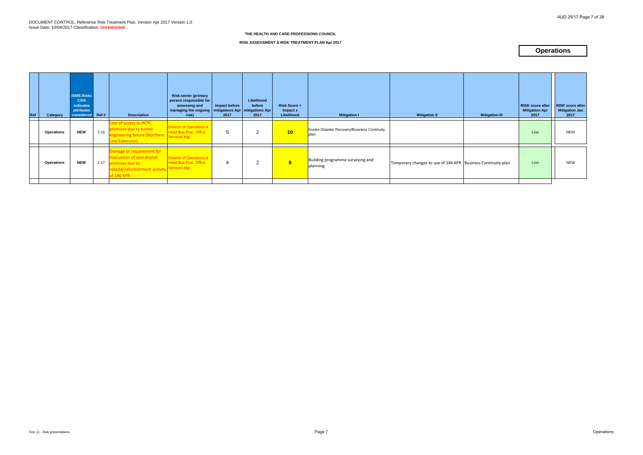# **RISK ASSESSMENT & RISK TREATMENT PLAN Apr 2017**

# **Operations**

| Ref<br>Category   | <b>ISMS Risks</b><br><b>C/I/A</b><br>indicates<br>attributes<br>considered Ref # |      | <b>Description</b>                                                                                                        | <b>Risk owner (primary</b><br>person responsible for<br>assessing and<br>managing the ongoing   mitigations Apr   mitigations Apr  <br>risk) | Impact before<br>2017 | Likelihood<br>before<br>2017 | $Risk Score =$<br>Impact x<br>Likelihood | <b>Mitigation I</b>                                  | <b>Mitigation II</b>                                         | <b>Mitigation III</b> | <b>RISK score after</b><br><b>Mitigation Apr</b><br>2017 | <b>RISK score after</b><br><b>Mitigation Jan</b><br>2017 |
|-------------------|----------------------------------------------------------------------------------|------|---------------------------------------------------------------------------------------------------------------------------|----------------------------------------------------------------------------------------------------------------------------------------------|-----------------------|------------------------------|------------------------------------------|------------------------------------------------------|--------------------------------------------------------------|-----------------------|----------------------------------------------------------|----------------------------------------------------------|
| <b>Operations</b> | <b>NEW</b>                                                                       | 2.16 | Loss of access to HCPC<br>premises due to tunnel<br>engineering failure (Northern Services Mgr<br>Line Extension)         | Director of Operations &<br><b>Head Bus Proc, Office</b>                                                                                     | 5                     | 2                            | 10 <sub>1</sub>                          | Invoke Disaster Recovery/Business Continuity<br>plan |                                                              |                       | Low                                                      | <b>NEW</b>                                               |
| <b>Operations</b> | <b>NEW</b>                                                                       | 2.17 | Damage or requirement for<br>evacuation of operational<br>premises due to<br>rebuild/refurbishment activity<br>of 186 KPR | <b>Director of Operations &amp;</b><br><b>Head Bus Proc, Office</b><br><b>Services Mgr</b>                                                   | 4                     | റ                            | $\overline{\mathbf{8}}$                  | Building programme surveying and<br>planning         | Temporary changes to use of 184 KPR Business Continuity plan |                       | Low                                                      | <b>NEW</b>                                               |
|                   |                                                                                  |      |                                                                                                                           |                                                                                                                                              |                       |                              |                                          |                                                      |                                                              |                       |                                                          |                                                          |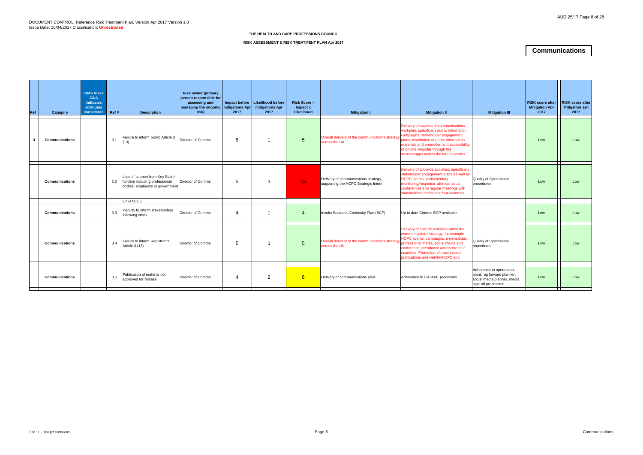| Ref | Category              | <b>ISMS Risks</b><br>C/ <sub>II</sub><br>indicates<br><b>attributes</b><br>considered | Ref # | <b>Description</b>                                                                                  | <b>Risk owner (primary</b><br>person responsible for<br>assessing and<br>managing the ongoing   mitigations Apr<br>risk) | 2017                   | Impact before   Likelihood before<br>mitigations Apr<br>2017 | $Risk Score =$<br>Impact x<br>Likelihood | <b>Mitigation I</b>                                                          | <b>Mitigation II</b>                                                                                                                                                                                                                                                                            | <b>Mitigation III</b>                                                                                        | <b>RISK score after</b><br><b>Mitigation Apr</b><br>2017 | <b>RISK score after</b><br><b>Mitigation Jan</b><br>2017 |
|-----|-----------------------|---------------------------------------------------------------------------------------|-------|-----------------------------------------------------------------------------------------------------|--------------------------------------------------------------------------------------------------------------------------|------------------------|--------------------------------------------------------------|------------------------------------------|------------------------------------------------------------------------------|-------------------------------------------------------------------------------------------------------------------------------------------------------------------------------------------------------------------------------------------------------------------------------------------------|--------------------------------------------------------------------------------------------------------------|----------------------------------------------------------|----------------------------------------------------------|
| -3  | <b>Communications</b> |                                                                                       | 3.1   | Failure to inform public Article 3<br>(13)                                                          | <b>Director of Comms</b>                                                                                                 | $5^{\circ}$            |                                                              | $5\phantom{.0}$                          | Overall delivery of the communications strategy<br>across the UK             | Delivery of aspects of communications<br>workplan, specifically public information<br>campaigns, stakeholder engagement<br>plans, distribution of public information<br>materials and promotion and accessibility<br>of on-line Register through the<br>website/apps across the four countries. |                                                                                                              | Low                                                      | Low                                                      |
|     | <b>Communications</b> |                                                                                       | 3.2   | Loss of support from Key Stake<br>holders including professional<br>bodies, employers or government | <b>Director of Comms</b>                                                                                                 | $5^{\circ}$            | 3                                                            | 15 <sub>1</sub>                          | Delivery of communications strategy,<br>supporting the HCPC Strategic Intent | Delivery of UK-wide activities, specifically<br>stakeholder engagement plans as well as<br><b>HCPC</b> events, parliamentary<br>monitoring/response, attendance at<br>conferences and regular meetings with<br>stakeholders across the four countries                                           | <b>Quality of Operational</b><br>procedures                                                                  | Low                                                      | Low                                                      |
|     |                       |                                                                                       |       | Links to 1.5                                                                                        |                                                                                                                          |                        |                                                              |                                          |                                                                              |                                                                                                                                                                                                                                                                                                 |                                                                                                              |                                                          |                                                          |
|     | <b>Communications</b> |                                                                                       | 3.3   | Inability to inform stakeholders<br>following crisis                                                | <b>Director of Comms</b>                                                                                                 | $\overline{A}$         |                                                              | $\overline{4}$                           | Invoke Business Continuity Plan (BCP)                                        | Up to date Comms BCP available                                                                                                                                                                                                                                                                  |                                                                                                              | Low                                                      | Low                                                      |
|     | Communications        |                                                                                       | 3.4   | Failure to inform Registrants<br>Article 3 (13)                                                     | <b>Director of Comms</b>                                                                                                 | $\overline{5}$         |                                                              | $5\phantom{.0}$                          | Overall delivery of the communications strategy<br>across the UK             | Delivery of specific activities within the<br>communications strategy, for example<br>HCPC events, campaigns, e-newsletter<br>professional media, social media and<br>conference attendance across the four<br>countries. Promotion of new/revised<br>publications and web/myHCPC app           | Quality of Operational<br>procedures                                                                         | Low                                                      | Low                                                      |
|     |                       |                                                                                       |       |                                                                                                     |                                                                                                                          |                        |                                                              |                                          |                                                                              |                                                                                                                                                                                                                                                                                                 |                                                                                                              |                                                          |                                                          |
|     | <b>Communications</b> |                                                                                       | 3.5   | Publication of material not<br>approved for release                                                 | <b>Director of Comms</b>                                                                                                 | $\boldsymbol{\Lambda}$ | 2                                                            | 8                                        | Delivery of communications plan                                              | Adherence to ISO9001 processes                                                                                                                                                                                                                                                                  | Adherence to operational<br>plans, eg forward planner,<br>social media planner, media<br>sign-off processes' | Low                                                      | Low                                                      |
|     |                       |                                                                                       |       |                                                                                                     |                                                                                                                          |                        |                                                              |                                          |                                                                              |                                                                                                                                                                                                                                                                                                 |                                                                                                              |                                                          |                                                          |

### **RISK ASSESSMENT & RISK TREATMENT PLAN Apr 2017**

# **Communications**

#### **THE HEALTH AND CARE PROFESSIONS COUNCIL**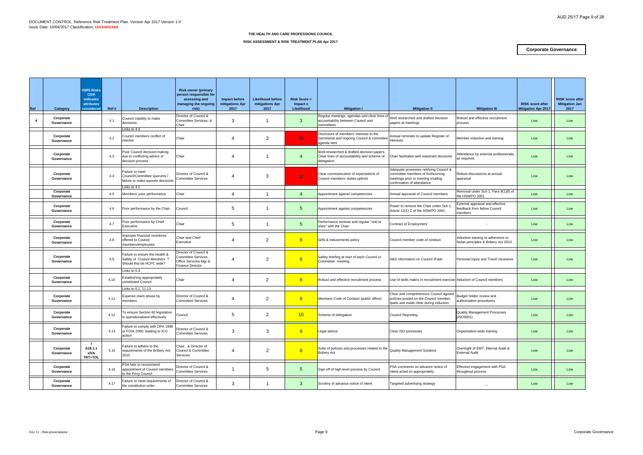| Ref                     | Category                | <b>ISMS Risks</b><br>C/I/A<br>indicates<br>attributes<br>considered<br>Ref # | <b>Description</b>                                                                         | <b>Risk owner (primary</b><br>person responsible for<br>assessing and<br>managing the ongoing<br>risk) | Impact before<br>mitigations Apr<br>2017 | <b>Likelihood before</b><br>mitigations Apr<br>2017 | $Risk Score =$<br>Impact x<br>Likelihood | <b>Mitigation I</b>                                                                                     | <b>Mitigation II</b>                                                                                                                           | <b>Mitigation III</b>                                                      | <b>RISK score after</b><br><b>Mitigation Apr 2017</b> | <b>RISK score after</b><br><b>Mitigation Jan</b><br>2017 |
|-------------------------|-------------------------|------------------------------------------------------------------------------|--------------------------------------------------------------------------------------------|--------------------------------------------------------------------------------------------------------|------------------------------------------|-----------------------------------------------------|------------------------------------------|---------------------------------------------------------------------------------------------------------|------------------------------------------------------------------------------------------------------------------------------------------------|----------------------------------------------------------------------------|-------------------------------------------------------|----------------------------------------------------------|
| $\overline{\mathbf{4}}$ | Corporate<br>Governance | 4.1                                                                          | Council inability to make<br>decisions<br>inks to 4.4                                      | Director of Council &<br>Committee Services, &<br>Chair                                                | 3                                        | -1                                                  | 3                                        | Regular meetings, agendas and clear lines of<br>accountability between Council and<br>committees        | Well researched and drafted decision<br>papers at meetings                                                                                     | Robust and effective recruitment<br>process                                | Low                                                   | Low                                                      |
|                         | Corporate<br>Governance | 4.2                                                                          | Council members conflict of<br>nterest                                                     | Chair                                                                                                  | 4                                        | 3                                                   | 12 <sub>1</sub>                          | Disclosure of members' interests to the<br>Secretariat and ongoing Council & committee<br>agenda item   | Annual reminder to update Register of<br>nterests                                                                                              | Member induction and training                                              | Low                                                   | Low                                                      |
|                         | Corporate<br>Governance | 4.3                                                                          | Poor Council decision-making<br>due to conflicting advice or<br>decision process           | Chair                                                                                                  | 4                                        | -1                                                  | $\overline{4}$                           | Well-researched & drafted decision papers,<br>Clear lines of accountability and scheme of<br>delegation | Chair facilitates well reasoned decisions                                                                                                      | Attendance by external professionals.<br>as required.                      | Low                                                   | Low                                                      |
|                         | Corporate<br>Governance | 4.4                                                                          | Failure to meet<br>Council/Committee quorums /<br>failure to make quorate decisions        | Director of Council &<br><b>Committee Services</b>                                                     | $\overline{4}$                           | 3                                                   | 12 <sub>1</sub>                          | Clear communication of expectations of<br>Council members' duties upfront                               | Adequate processes notifying Council &<br>committee members of forthcoming<br>meetings prior to meeting icluding<br>confirmation of attendance | Robust discussions at annual<br>appraisal                                  | Low                                                   | Low                                                      |
|                         | Corporate<br>Governance | 4.5                                                                          | inks to 4.1<br>Members' poor performance                                                   | Chair                                                                                                  | $\overline{4}$                           | $\mathbf{1}$                                        | $\overline{4}$                           | Appointment against competencies                                                                        | Annual appraisal of Council members                                                                                                            | Removal under Sch 1, Para 9(1)(f) of<br>the HSWPO 2001                     | Low                                                   | Low                                                      |
|                         | Corporate<br>Governance | 4.6                                                                          | Poor performance by the Chair                                                              | Council                                                                                                | 5                                        | $\mathbf{1}$                                        | $5\overline{)}$                          | Appointment against competencies                                                                        | Power to remove the Chair under Sch 1,<br>Article 12(1) C of the HSWPO 2001                                                                    | External appraisal and effective<br>eedback from fellow Council<br>members | Low                                                   | Low                                                      |
|                         | Corporate<br>Governance | 4.7                                                                          | Poor performance by Chief<br>Executive                                                     | Chair                                                                                                  | 5                                        | -1                                                  | 5                                        | Performance reviews and regular "one to<br>ones" with the Chair                                         | Contract of Employment                                                                                                                         |                                                                            | Low                                                   | Low                                                      |
|                         | Corporate<br>Governance | 4.8                                                                          | mproper financial incentives<br>offered to Council<br>nembers/employees                    | Chair and Chief<br>Executive                                                                           | 4                                        | $\overline{2}$                                      | 8                                        | Gifts & Inducements policy                                                                              | Council member code of conduct                                                                                                                 | Induction training re:adherence to<br>Nolan principles & Bribery Act 2010  | Low                                                   | Low                                                      |
|                         | Corporate<br>Governance | 4.9                                                                          | Failure to ensure the Health &<br>Safety of Council Members ?<br>Should this be HCPC wide? | Director of Council &<br><b>Committee Services</b><br>Office Services Mgr &<br><b>Finance Director</b> | 4                                        | 2                                                   | 8                                        | Safety briefing at start of each Council or<br>Committee meeting.                                       | H&S information on Council iPads                                                                                                               | Personal Injury and Travel insurance                                       | Low                                                   | Low                                                      |
|                         | Corporate<br>Governance | 4.10                                                                         | inks to 6.3<br>Establishing appropriately<br>constituted Council                           | Chair                                                                                                  | 4                                        | $\overline{2}$                                      | 8                                        | Robust and effective recruitment process                                                                | Use of skills matrix in recruitment exercise Induction of Council members                                                                      |                                                                            | Low                                                   | Low                                                      |
|                         | Corporate<br>Governance | 4.11                                                                         | Links to 6.1, 11.13<br>Expense claim abuse by<br>members                                   | Director of Council &<br><b>Committee Services</b>                                                     | 4                                        | $\overline{2}$                                      | 8                                        | Members Code of Conduct (public office)                                                                 | Clear and comprehensive Council agreed<br>policies posted on the Council member<br>lpads and made clear during induction                       | Budget holder review and<br>authorisation procedures                       | Low                                                   | Low                                                      |
|                         | Corporate<br>Governance | 4.12                                                                         | To ensure Section 60 legislation<br>is operationalised effectively                         | Council                                                                                                | 5                                        | $\overline{2}$                                      | 10                                       | Scheme of delegation                                                                                    | Council Reporting                                                                                                                              | <b>Quality Management Processes</b><br>(ISO9001)                           | Low                                                   | Low                                                      |
|                         | Corporate<br>Governance | 4.13                                                                         | Failure to comply with DPA 1998<br>or FOIA 2000, leading to ICO<br>action                  | Director of Council &<br><b>Committee Services</b>                                                     | 3                                        | 3                                                   | 9                                        | Legal advice                                                                                            | Clear ISO processes                                                                                                                            | Organisation-wide training                                                 | Low                                                   | Low                                                      |
|                         | Corporate<br>Governance | A18.1.1<br>4.15<br>x/l/A<br>TRT>TOL                                          | Failure to adhere to the<br>requirements of the Bribery Act<br>2010                        | Chair, & Director of<br>Council & Committee<br>Services                                                | $\overline{4}$                           | $\overline{2}$                                      | 8                                        | Suite of policies and processes related to the<br><b>Bribery Act</b>                                    | <b>Quality Management Systems</b>                                                                                                              | Oversight of EMT, Internal Audit &<br><b>External Audit</b>                | Low                                                   | Low                                                      |
|                         | Corporate<br>Governance | 4.16                                                                         | PSA fails to recommend<br>appointment of Council members<br>to the Privy Council           | Director of Council &<br><b>Committee Services</b>                                                     |                                          | 5                                                   | $5\overline{)}$                          | Sign off of high level process by Council                                                               | PSA comments on advance notice of<br>intent acted on appropriately                                                                             | Effective engagement with PSA<br>throughout process                        | Low                                                   | Low                                                      |
|                         | Corporate<br>Governance | 4.17                                                                         | Failure to meet requirements of<br>the constitution order                                  | Director of Council &<br><b>Committee Services</b>                                                     | $\mathbf{3}$                             | $\mathbf 1$                                         | $\mathbf{3}$                             | Scrutiny of advance notice of intent                                                                    | Targeted advertising strategy                                                                                                                  |                                                                            | Low                                                   | Low                                                      |

# **RISK ASSESSMENT & RISK TREATMENT PLAN Apr 2017**

# **Corporate Governance**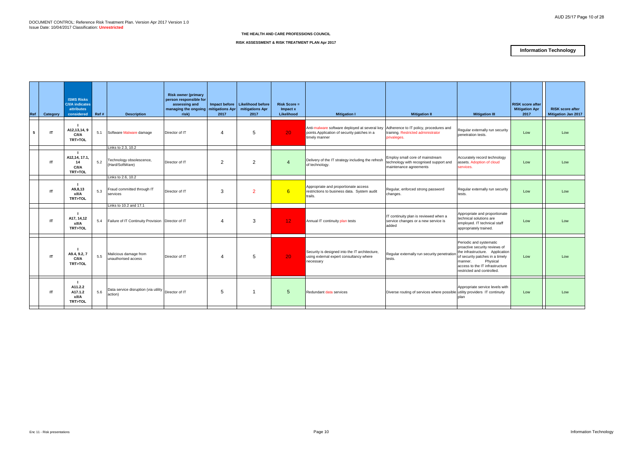| <b>ISMS Risks</b><br><b>C/I/A indicates</b><br><b>attributes</b><br>considered | Ref #    | <b>Description</b>                           | <b>Risk owner (primary</b><br>assessing and<br>risk) | 2017                                                                                                       | mitigations Apr<br>2017 | <b>Risk Score =</b><br>Impact x<br>Likelihood                             | <b>Mitigation I</b>                                                                                    | <b>Mitigation II</b>                   | <b>Mitigation III</b>                                                                                                                                                                                                                                                                                                                                                                                     | <b>Mitigation Apr</b><br>2017                                                                                                                                                                                                                                                                                                                                                                                                         | <b>RISK score after</b><br>Mitigation Jan 2017             |
|--------------------------------------------------------------------------------|----------|----------------------------------------------|------------------------------------------------------|------------------------------------------------------------------------------------------------------------|-------------------------|---------------------------------------------------------------------------|--------------------------------------------------------------------------------------------------------|----------------------------------------|-----------------------------------------------------------------------------------------------------------------------------------------------------------------------------------------------------------------------------------------------------------------------------------------------------------------------------------------------------------------------------------------------------------|---------------------------------------------------------------------------------------------------------------------------------------------------------------------------------------------------------------------------------------------------------------------------------------------------------------------------------------------------------------------------------------------------------------------------------------|------------------------------------------------------------|
| A12,13,14, 9<br>C/I/A<br>TRT>TOL                                               | 5.1      |                                              | Director of IT                                       |                                                                                                            | 5                       | 20 <sup>°</sup>                                                           | points.Application of security patches in a<br>timely manner                                           |                                        | penetration tests.                                                                                                                                                                                                                                                                                                                                                                                        | Low                                                                                                                                                                                                                                                                                                                                                                                                                                   | Low                                                        |
|                                                                                |          |                                              |                                                      |                                                                                                            |                         |                                                                           |                                                                                                        |                                        |                                                                                                                                                                                                                                                                                                                                                                                                           |                                                                                                                                                                                                                                                                                                                                                                                                                                       |                                                            |
| A12,14, 17.1,<br>14<br>C/I/A<br><b>TRT&gt;TOL</b>                              | 5.2      | Technology obsolescence,<br>(Hard/SoftWare)  | Director of IT                                       | $\overline{2}$                                                                                             | $\overline{2}$          | $\overline{4}$                                                            | Delivery of the IT strategy including the refresh<br>of technology.                                    | technology with recognised support and | Accurately record technology<br>services.                                                                                                                                                                                                                                                                                                                                                                 | Low                                                                                                                                                                                                                                                                                                                                                                                                                                   | Low                                                        |
|                                                                                |          | Links to 2.6, 10.2                           |                                                      |                                                                                                            |                         |                                                                           |                                                                                                        |                                        |                                                                                                                                                                                                                                                                                                                                                                                                           |                                                                                                                                                                                                                                                                                                                                                                                                                                       |                                                            |
| A9,8,13<br>x/I/A<br><b>TRT&gt;TOL</b>                                          | 5.3      | Fraud committed through IT<br>services       | Director of IT                                       | 3                                                                                                          | $\overline{2}$          | 6                                                                         | Appropriate and proportionate access<br>restrictions to business data. System audit<br>trails.         |                                        | tests.                                                                                                                                                                                                                                                                                                                                                                                                    | Low                                                                                                                                                                                                                                                                                                                                                                                                                                   | Low                                                        |
|                                                                                |          | Links to 10.2 and 17.1                       |                                                      |                                                                                                            |                         |                                                                           |                                                                                                        |                                        |                                                                                                                                                                                                                                                                                                                                                                                                           |                                                                                                                                                                                                                                                                                                                                                                                                                                       |                                                            |
| A17, 14,12<br>x/I/A<br><b>TRT&gt;TOL</b>                                       | 5.4      |                                              |                                                      | 4                                                                                                          | 3                       | 12 <sub>1</sub>                                                           | Annual IT continuity plan tests                                                                        |                                        |                                                                                                                                                                                                                                                                                                                                                                                                           | Low                                                                                                                                                                                                                                                                                                                                                                                                                                   | Low                                                        |
| A9.4, 9.2, 7<br>C/I/A<br><b>TRT&gt;TOL</b>                                     | 5.5      | Malicious damage from<br>unauthorised access | Director of IT                                       | 4                                                                                                          | 5                       | 20                                                                        | Security is designed into the IT architecture,<br>using external expert consultancy where<br>necessary |                                        | manner.<br>Physical<br>access to the IT infrastructure<br>restricted and controlled.                                                                                                                                                                                                                                                                                                                      | Low                                                                                                                                                                                                                                                                                                                                                                                                                                   | Low                                                        |
| A11.2.2<br>A17.1.2<br>x/I/A<br><b>TRT&gt;TOL</b>                               | 5.6      | action)                                      |                                                      | 5                                                                                                          |                         | $5^{\circ}$                                                               | Redundant data services                                                                                |                                        | plan                                                                                                                                                                                                                                                                                                                                                                                                      | Low                                                                                                                                                                                                                                                                                                                                                                                                                                   | Low                                                        |
|                                                                                | Category |                                              | Software Malware damage<br>Links to 2.3, 10.2        | Failure of IT Continuity Provision   Director of IT<br>Data service disruption (via utility Director of IT | person responsible for  | Impact before Likelihood before<br>managing the ongoing   mitigations Apr |                                                                                                        |                                        | Anti-malware software deployed at several key Adherence to IT policy, procedures and<br>training. Restricted administrator<br>privaleges.<br>Employ small core of mainstream<br>maintenance agreements<br>Regular, enforced strong password<br>changes.<br>IT continuity plan is reviewed when a<br>service changes or a new service is<br>added<br>Regular externally run security penetration<br>tests. | Regular externally run security<br>assets. Adoption of cloud<br>Regular externally run security<br>Appropriate and proportionate<br>technical solutions are<br>employed. IT technical staff<br>appropriately trained.<br>Periodic and systematic<br>proactive security reviews of<br>of security patches in a timely<br>Appropriate service levels with<br>Diverse routing of services where possible utility providers IT continuity | <b>RISK score after</b><br>the infrastructure. Application |

**RISK ASSESSMENT & RISK TREATMENT PLAN Apr 2017**

# **Information Technology**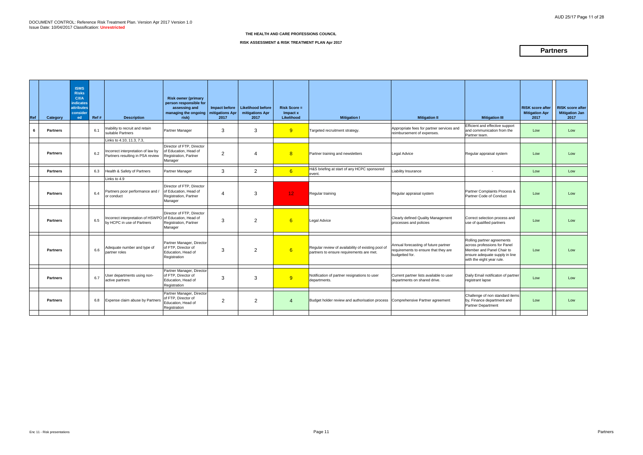| Ref | Category        | <b>ISMS</b><br><b>Risks</b><br>C/ <sub>1</sub> /A<br><b>indicates</b><br><b>attributes</b><br>consider<br>ed | Ref # | <b>Description</b>                                                                                 | <b>Risk owner (primary</b><br>person responsible for<br>assessing and<br>managing the ongoing   mitigations Apr<br>risk) | Impact before<br>2017 | Likelihood before<br>mitigations Apr<br>2017 | <b>Risk Score =</b><br>Impact x<br>Likelihood | <b>Mitigation I</b>                                                                            | <b>Mitigation II</b>                                                                           | <b>Mitigation III</b>                                                                                                                                  | <b>RISK score after</b><br><b>Mitigation Apr</b><br>2017 | <b>RISK score after</b><br><b>Mitigation Jan</b><br>2017 |
|-----|-----------------|--------------------------------------------------------------------------------------------------------------|-------|----------------------------------------------------------------------------------------------------|--------------------------------------------------------------------------------------------------------------------------|-----------------------|----------------------------------------------|-----------------------------------------------|------------------------------------------------------------------------------------------------|------------------------------------------------------------------------------------------------|--------------------------------------------------------------------------------------------------------------------------------------------------------|----------------------------------------------------------|----------------------------------------------------------|
| 6   | <b>Partners</b> |                                                                                                              | 6.1   | Inability to recruit and retain<br>suitable Partners                                               | Partner Manager                                                                                                          | 3                     | 3                                            | 9                                             | Targeted recruitment strategy.                                                                 | Appropriate fees for partner services and<br>reimbursement of expenses.                        | Efficient and effective support<br>and communication from the<br>Partner team.                                                                         | Low                                                      | Low                                                      |
|     | <b>Partners</b> |                                                                                                              | 6.2   | Links to 4.10, 11.3, 7.3,<br>ncorrect interpretation of law by<br>Partners resulting in PSA review | Director of FTP, Director<br>of Education, Head of<br>Registration, Partner                                              | $\overline{2}$        | $\boldsymbol{\vartriangle}$                  | 8                                             | Partner training and newsletters                                                               | <b>Legal Advice</b>                                                                            | Regular appraisal system                                                                                                                               | Low                                                      | Low                                                      |
|     | <b>Partners</b> |                                                                                                              | 6.3   | Health & Safety of Partners                                                                        | Manager<br>Partner Manager                                                                                               | 3                     | $\overline{2}$                               | 6                                             | H&S briefing at start of any HCPC sponsored<br>event.                                          | Liability Insurance                                                                            |                                                                                                                                                        | Low                                                      | Low                                                      |
|     | <b>Partners</b> |                                                                                                              | 6.4   | Links to 4.9<br>Partners poor performance and /<br>or conduct                                      | Director of FTP, Director<br>of Education. Head of<br>Registration, Partner<br>Manager                                   | 4                     | 3                                            | 12 <sub>1</sub>                               | Regular training                                                                               | Regular appraisal system                                                                       | Partner Complaints Process &<br>Partner Code of Conduct                                                                                                | Low                                                      | Low                                                      |
|     | <b>Partners</b> |                                                                                                              | 6.5   | Incorrect interpretation of HSWPO of Education, Head of<br>by HCPC in use of Partners              | Director of FTP, Director<br>Registration, Partner<br>Manager                                                            | 3                     | $\overline{2}$                               | 6                                             | Legal Advice                                                                                   | Clearly defined Quality Management<br>processes and policies                                   | Correct selection process and<br>use of qualified partners                                                                                             | Low                                                      | Low                                                      |
|     | <b>Partners</b> |                                                                                                              | 6.6   | Adequate number and type of<br>partner roles                                                       | Partner Manager, Director<br>of FTP. Director of<br>Education, Head of<br>Registration                                   | 3                     | $\overline{2}$                               | 6                                             | Regular review of availability of existing pool of<br>partners to ensure requirements are met. | Annual forecasting of future partner<br>requirements to ensure that they are<br>budgetted for. | Rolling partner agreements<br>across professions for Panel<br>Member and Panel Chair to<br>ensure adequate supply in line<br>with the eight year rule. | Low                                                      | Low                                                      |
|     | <b>Partners</b> |                                                                                                              | 6.7   | User departments using non-<br>active partners                                                     | Partner Manager, Director<br>of FTP, Director of<br>Education, Head of<br>Registration                                   | 3                     | 3                                            | 9                                             | Notification of partner resignations to user<br>departments.                                   | Current partner lists available to user<br>departments on shared drive.                        | Daily Email notificaton of partner<br>registrant lapse                                                                                                 | Low                                                      | Low                                                      |
|     | <b>Partners</b> |                                                                                                              | 6.8   | Expense claim abuse by Partners                                                                    | Partner Manager, Director<br>of FTP. Director of<br>Education. Head of<br>Registration                                   | $\overline{2}$        | $\overline{2}$                               | 4                                             | Budget holder review and authorisation process Comprehensive Partner agreement                 |                                                                                                | Challenge of non standard items<br>by, Finance department and<br>Partner Department                                                                    | Low                                                      | Low                                                      |
|     |                 |                                                                                                              |       |                                                                                                    |                                                                                                                          |                       |                                              |                                               |                                                                                                |                                                                                                |                                                                                                                                                        |                                                          |                                                          |

# **RISK ASSESSMENT & RISK TREATMENT PLAN Apr 2017**

# **Partners**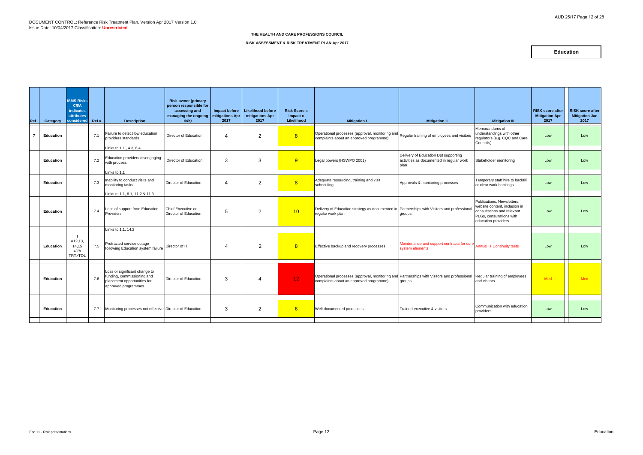| Ref | Category         | <b>ISMS Risks</b><br><b>C/I/A</b><br><b>indicates</b><br><b>attributes</b><br>considered Ref # |     | <b>Description</b>                                                                                                | <b>Risk owner (primary</b><br>person responsible for<br>assessing and<br>managing the ongoing<br>risk) | Impact before<br>mitigations Apr<br>2017 | Likelihood before<br>mitigations Apr<br>2017 | <b>Risk Score =</b><br>Impact x<br>Likelihood | <b>Mitigation I</b>                                                                                                                                                  | <b>Mitigation II</b>                                                                     | <b>Mitigation III</b>                                                                                                                        | <b>RISK score after</b><br><b>Mitigation Apr</b><br>2017 | <b>RISK score after</b><br><b>Mitigation Jan</b><br>2017 |
|-----|------------------|------------------------------------------------------------------------------------------------|-----|-------------------------------------------------------------------------------------------------------------------|--------------------------------------------------------------------------------------------------------|------------------------------------------|----------------------------------------------|-----------------------------------------------|----------------------------------------------------------------------------------------------------------------------------------------------------------------------|------------------------------------------------------------------------------------------|----------------------------------------------------------------------------------------------------------------------------------------------|----------------------------------------------------------|----------------------------------------------------------|
| 7   | Education        |                                                                                                | 7.1 | Failure to detect low education<br>providers standards                                                            | Director of Education                                                                                  | 4                                        | $\overline{2}$                               | 8                                             | Operational processes (approval, monitoring and<br>complaints about an approved programme)                                                                           | Regular training of employees and visitors                                               | Memorandums of<br>understandings with other<br>regulators (e.g. CQC and Care<br>Councils)                                                    | Low                                                      | Low                                                      |
|     |                  |                                                                                                |     | Links to 1.1 . 4.3. 6.4                                                                                           |                                                                                                        |                                          |                                              |                                               |                                                                                                                                                                      |                                                                                          |                                                                                                                                              |                                                          |                                                          |
|     | <b>Education</b> |                                                                                                | 7.2 | Education providers disengaging<br>with process                                                                   | Director of Education                                                                                  | $\mathcal{S}$                            | 3                                            | 9                                             | Legal powers (HSWPO 2001)                                                                                                                                            | Delivery of Education Dpt supporting<br>activities as documented in regular work<br>plan | Stakeholder monitoring                                                                                                                       | Low                                                      | Low                                                      |
|     |                  |                                                                                                |     | Links to 1.1                                                                                                      |                                                                                                        |                                          |                                              |                                               |                                                                                                                                                                      |                                                                                          |                                                                                                                                              |                                                          |                                                          |
|     | <b>Education</b> |                                                                                                | 7.3 | Inability to conduct visits and<br>monitoring tasks                                                               | Director of Education                                                                                  | $\boldsymbol{\varDelta}$                 | $\overline{2}$                               | 8                                             | Adequate resourcing, training and visit<br>scheduling                                                                                                                | Approvals & monitoring processes                                                         | Temporary staff hire to backfill<br>or clear work backlogs                                                                                   | Low                                                      | Low                                                      |
|     |                  |                                                                                                |     | Links to 1.1, 6.1, 11.2 & 11.3                                                                                    |                                                                                                        |                                          |                                              |                                               |                                                                                                                                                                      |                                                                                          |                                                                                                                                              |                                                          |                                                          |
|     | <b>Education</b> |                                                                                                | 7.4 | Loss of support from Education<br>Providers                                                                       | Chief Executive or<br>Director of Education                                                            | 5                                        | $\overline{2}$                               | 10                                            | Delivery of Education strategy as documented in Partnerships with Visitors and professional<br>regular work plan                                                     | groups.                                                                                  | Publications. Newsletters.<br>website content, inclusion in<br>consultations and relevant<br>PLGs. consultations with<br>education providers | Low                                                      | Low                                                      |
|     |                  |                                                                                                |     | Links to 1.1, 14.2                                                                                                |                                                                                                        |                                          |                                              |                                               |                                                                                                                                                                      |                                                                                          |                                                                                                                                              |                                                          |                                                          |
|     | Education        | A12,13,<br>14.15<br>x/l/A<br>TRT>TOL                                                           | 7.5 | Protracted service outage<br>following Education system failure                                                   | Director of IT                                                                                         | $\boldsymbol{\varDelta}$                 | 2                                            | 8                                             | Effective backup and recovery processes                                                                                                                              | Maintenance and support contracts for core<br>system elements.                           | <b>Annual IT Continuity tests</b>                                                                                                            | Low                                                      | Low                                                      |
|     | <b>Education</b> |                                                                                                | 7.6 | Loss or significant change to<br>funding, commissioning and<br>placement opportunities for<br>approved programmes | Director of Education                                                                                  | 3                                        | 4                                            | 12 <sub>1</sub>                               | Operational processes (approval, monitoring and Partnerships with Visitors and professional Regular training of employees<br>complaints about an approved programme) | groups.                                                                                  | and visitors                                                                                                                                 | Med                                                      | Med                                                      |
|     |                  |                                                                                                |     |                                                                                                                   |                                                                                                        |                                          |                                              |                                               |                                                                                                                                                                      |                                                                                          |                                                                                                                                              |                                                          |                                                          |
|     | <b>Education</b> |                                                                                                | 7.7 | Monitoring processes not effective Director of Education                                                          |                                                                                                        | 3                                        | $\overline{2}$                               | 6                                             | Well documented processes                                                                                                                                            | Trained executive & visitors                                                             | Communication with education<br>providers                                                                                                    | Low                                                      | Low                                                      |
|     |                  |                                                                                                |     |                                                                                                                   |                                                                                                        |                                          |                                              |                                               |                                                                                                                                                                      |                                                                                          |                                                                                                                                              |                                                          |                                                          |

**RISK ASSESSMENT & RISK TREATMENT PLAN Apr 2017**

# **Education**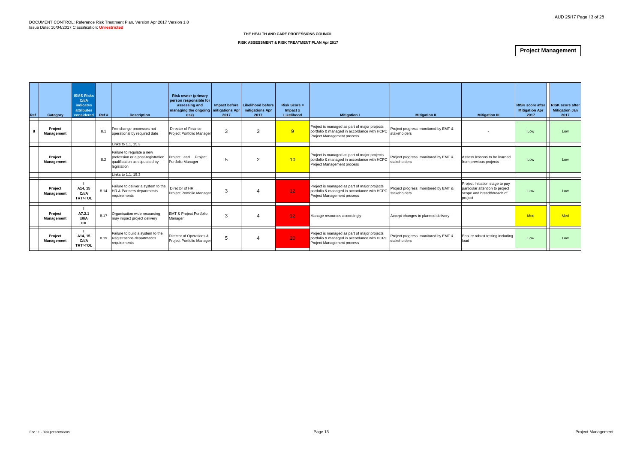| Ref | Category                     | <b>ISMS Risks</b><br>C/ <sub>II</sub> /A<br>indicates<br>attributes<br>considered | Ref # | <b>Description</b>                                                                                              | <b>Risk owner (primary</b><br>person responsible for<br>assessing and<br>managing the ongoing   mitigations Apr  <br>risk) | 2017 | Impact before   Likelihood before<br>mitigations Apr<br>2017 | $Risk Score =$<br>Impact x<br>Likelihood | <b>Mitigation I</b>                                                                                                       | <b>Mitigation II</b>                                | <b>Mitigation III</b>                                                                                       | <b>RISK score after</b><br><b>Mitigation Apr</b><br>2017 | <b>RISK score after</b><br>Mitigation Jan<br>2017 |
|-----|------------------------------|-----------------------------------------------------------------------------------|-------|-----------------------------------------------------------------------------------------------------------------|----------------------------------------------------------------------------------------------------------------------------|------|--------------------------------------------------------------|------------------------------------------|---------------------------------------------------------------------------------------------------------------------------|-----------------------------------------------------|-------------------------------------------------------------------------------------------------------------|----------------------------------------------------------|---------------------------------------------------|
| 8   | Project<br>Management        |                                                                                   | 8.1   | Fee change processes not<br>operational by required date                                                        | Director of Finance<br>Project Portfolio Manager                                                                           | 3    | 3                                                            | 9                                        | Project is managed as part of major projects<br>portfolio & managed in accordance with HCPC<br>Project Management process | Project progress monitored by EMT &<br>stakeholders |                                                                                                             | Low                                                      | Low                                               |
|     |                              |                                                                                   |       | Links to 1.1, 15.3                                                                                              |                                                                                                                            |      |                                                              |                                          |                                                                                                                           |                                                     |                                                                                                             |                                                          |                                                   |
|     | Project<br>Management        |                                                                                   | 8.2   | Failure to regulate a new<br>profession or a post-registration<br>qualification as stipulated by<br>legislation | Project Lead Project<br>Portfolio Manager                                                                                  | 5    | $\overline{2}$                                               | 10                                       | Project is managed as part of major projects<br>portfolio & managed in accordance with HCPC<br>Project Management process | Project progress monitored by EMT &<br>stakeholders | Assess lessons to be learned<br>from previous projects                                                      | Low                                                      | Low                                               |
|     |                              |                                                                                   |       | Links to 1.1. 15.3                                                                                              |                                                                                                                            |      |                                                              |                                          |                                                                                                                           |                                                     |                                                                                                             |                                                          |                                                   |
|     | Project<br>Management        | A14, 15<br>C/I/A<br><b>TRT&gt;TOL</b>                                             | 8.14  | Failure to deliver a system to the<br>HR & Partners departments<br>requirements                                 | Director of HR<br>Project Portfolio Manager                                                                                | 3    | 4                                                            | 12 <sub>1</sub>                          | Project is managed as part of major projects<br>portfolio & managed in accordance with HCPC<br>Project Management process | Project progress monitored by EMT &<br>stakeholders | Project Initiation stage to pay<br>particular attention to project<br>scope and breadth/reach of<br>project | Low                                                      | Low                                               |
|     | Project<br>Management        | A7.2.1<br>x/I/A<br><b>TOL</b>                                                     | 8.17  | Organisation wide resourcing<br>may impact project delivery                                                     | <b>EMT &amp; Project Portfolio</b><br>Manager                                                                              | 3    | 4                                                            | 12 <sub>1</sub>                          | Manage resources accordingly                                                                                              | Accept changes to planned delivery                  |                                                                                                             | <b>Med</b>                                               | <b>Med</b>                                        |
|     | Project<br><b>Management</b> | A14, 15<br>C/I/A<br><b>TRT&gt;TOL</b>                                             | 8.19  | Failure to build a system to the<br>Registrations department's<br>requirements                                  | Director of Operations &<br>Project Portfolio Manager                                                                      | 5    | Δ                                                            | 20                                       | Project is managed as part of major projects<br>portfolio & managed in accordance with HCPC<br>Project Management process | Project progress monitored by EMT &<br>stakeholders | Ensure robust testing including<br>load                                                                     | Low<br>$\mathbf{I}$                                      | Low                                               |
|     |                              |                                                                                   |       |                                                                                                                 |                                                                                                                            |      |                                                              |                                          |                                                                                                                           |                                                     |                                                                                                             |                                                          |                                                   |

### **RISK ASSESSMENT & RISK TREATMENT PLAN Apr 2017**

# **Project Management**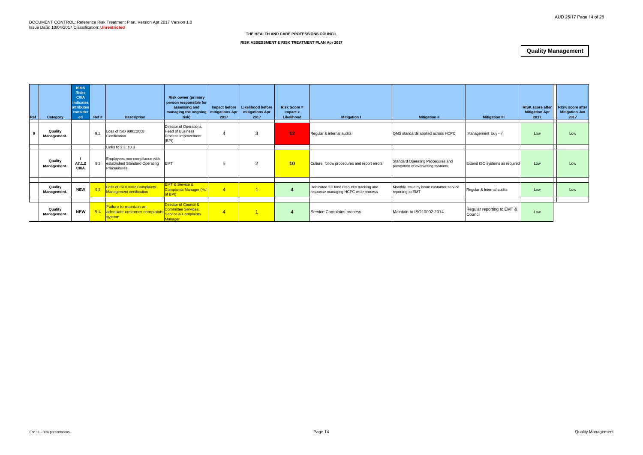| Ref | Category               | <b>ISMS</b><br><b>Risks</b><br>C/I/A<br><b>indicates</b><br><b>attributes</b><br>consider<br>ed | Ref# | <b>Description</b>                                                             | <b>Risk owner (primary</b><br>person responsible for<br>assessing and<br>managing the ongoing<br>risk) | Impact before<br>mitigations Apr<br>2017 | Likelihood before<br>mitigations Apr<br>2017 | $Risk Score =$<br>Impact x<br>Likelihood | <b>Mitigation I</b>                                                              | <b>Mitigation II</b>                                                   | <b>Mitigation III</b>                 | <b>RISK score after</b><br><b>Mitigation Apr</b><br>2017 | <b>RISK score after</b><br><b>Mitigation Jan</b><br>2017 |
|-----|------------------------|-------------------------------------------------------------------------------------------------|------|--------------------------------------------------------------------------------|--------------------------------------------------------------------------------------------------------|------------------------------------------|----------------------------------------------|------------------------------------------|----------------------------------------------------------------------------------|------------------------------------------------------------------------|---------------------------------------|----------------------------------------------------------|----------------------------------------------------------|
| - 9 | Quality<br>Management. |                                                                                                 | 9.1  | Loss of ISO 9001:2008<br>Certification                                         | Director of Operations,<br><b>Head of Business</b><br>Process Improvement<br>(BPI)                     | 4                                        | 3                                            | 12 <sub>1</sub>                          | Regular & internal audits                                                        | QMS standards applied across HCPC                                      | Management buy - in                   | Low                                                      | Low                                                      |
|     |                        |                                                                                                 |      | Links to 2.3, 10.3                                                             |                                                                                                        |                                          |                                              |                                          |                                                                                  |                                                                        |                                       |                                                          |                                                          |
|     | Quality<br>Management. | A7.1.2<br><b>C/VA</b>                                                                           | 9.2  | Employees non-compliance with<br>established Standard Operating<br>Proceedures | <b>EMT</b>                                                                                             | 5                                        | 2                                            | 10                                       | Culture, follow procedures and report errors                                     | Standard Operating Procedures and<br>prevention of overwriting systems | Extend ISO systems as required        | Low                                                      | Low                                                      |
|     |                        |                                                                                                 |      |                                                                                |                                                                                                        |                                          |                                              |                                          |                                                                                  |                                                                        |                                       |                                                          |                                                          |
|     | Quality<br>Management. | <b>NEW</b>                                                                                      | 9.3  | Loss of ISO10002 Complaints<br>Management certification                        | <b>EMT &amp; Service &amp;</b><br><b>Complaints Manager (Hd</b><br>of BPI)                             | $\overline{4}$                           |                                              | $\overline{\mathbf{4}}$                  | Dedicated full time resource tracking and<br>response managing HCPC wide process | Monthly issue by issue customer service<br>reporting to EMT            | Regular & Internal audits             | Low                                                      | Low                                                      |
|     |                        |                                                                                                 |      |                                                                                |                                                                                                        |                                          |                                              |                                          |                                                                                  |                                                                        |                                       |                                                          |                                                          |
|     | Quality<br>Management. | <b>NEW</b>                                                                                      | 9.4  | <b>Failure to maintain an</b><br>adequate customer complaints<br>system_       | Director of Council &<br><b>Committee Services:</b><br>Service & Complaints<br>Manager                 | $\overline{4}$                           |                                              | 4                                        | Service Complains process                                                        | Maintain to ISO10002:2014                                              | Regular reporting to EMT &<br>Council | Low                                                      |                                                          |

# **RISK ASSESSMENT & RISK TREATMENT PLAN Apr 2017**

# **Quality Management**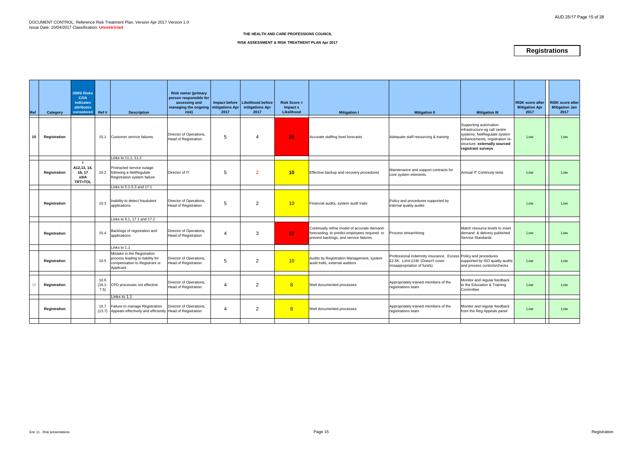| Ref | Category     | <b>ISMS Risks</b><br>C/1/A<br><b>indicates</b><br><b>attributes</b><br>considered | Ref #                     | <b>Description</b>                                                                                                            | <b>Risk owner (primary</b><br>person responsible for<br>assessing and<br>managing the ongoing   mitigations Apr<br>risk) | 2017           | Impact before   Likelihood before<br>mitigations Apr<br>2017 | <b>Risk Score =</b><br>Impact x<br>Likelihood | <b>Mitigation I</b>                                                                                                                     | <b>Mitigation II</b>                                                                                                             | <b>Mitigation III</b>                                                                                                                                                          | <b>RISK score after</b><br><b>Mitigation Apr</b><br>2017 | <b>RISK score after</b><br><b>Mitigation Jan</b><br>2017 |
|-----|--------------|-----------------------------------------------------------------------------------|---------------------------|-------------------------------------------------------------------------------------------------------------------------------|--------------------------------------------------------------------------------------------------------------------------|----------------|--------------------------------------------------------------|-----------------------------------------------|-----------------------------------------------------------------------------------------------------------------------------------------|----------------------------------------------------------------------------------------------------------------------------------|--------------------------------------------------------------------------------------------------------------------------------------------------------------------------------|----------------------------------------------------------|----------------------------------------------------------|
| 10  | Registration |                                                                                   | 10.1                      | Customer service failures                                                                                                     | Director of Operations,<br>Head of Registration                                                                          | 5              |                                                              | 20                                            | Accurate staffing level forecasts                                                                                                       | Adequate staff resourcing & training                                                                                             | Supporting automation<br>infrastructure eg call centre<br>systems, NetRegulate system<br>enhancements, registration re-<br>structure; externally sourced<br>registrant surveys | Low                                                      | Low                                                      |
|     | Registration | - 11<br>A12,13, 14.<br>16, 17<br>x/I/A<br><b>TRT&gt;TOL</b>                       |                           | Links to 11.1, 11.2<br>Protracted service outage<br>10.2 following a NetRegulate<br>Registration system failure               | Director of IT                                                                                                           | $\overline{5}$ | <sup>2</sup>                                                 | 10                                            | Effective backup and recovery procedures                                                                                                | Maintenance and support contracts for<br>core system elements.                                                                   | <b>Annual IT Continuity tests</b>                                                                                                                                              | Low                                                      | Low                                                      |
|     | Registration |                                                                                   | 10.3                      | Links to 5.1-5.3 and 17.1<br>nability to detect fraudulent<br>applications                                                    | Director of Operations,<br>Head of Registration                                                                          | 5              | $\overline{2}$                                               | 10                                            | Financial audits, system audit trails                                                                                                   | Policy and procedures supported by<br>internal quality audits                                                                    |                                                                                                                                                                                | Low                                                      | Low                                                      |
|     | Registration |                                                                                   | 10.4                      | Links to 9.1, 17.1 and 17.2<br>Backlogs of registration and<br>applications                                                   | Director of Operations,<br><b>Head of Registration</b>                                                                   | 4              | 3                                                            | 12 <sub>1</sub>                               | Continually refine model of accurate demand-<br>forecasting, to predict employees required to<br>prevent backlogs, and service failures | Process streamlining                                                                                                             | Match resource levels to meet<br>demand & delivery published<br>Service Standards                                                                                              | Low                                                      | Low                                                      |
|     | Registration |                                                                                   | 10.5                      | Links to 1.1<br>Mistake in the Registration<br>process leading to liability for<br>compensation to Registrant or<br>Applicant | Director of Operations,<br><b>Head of Registration</b>                                                                   | 5              | 2                                                            | 10                                            | Audits by Registration Management, system<br>audit trails, external auditors                                                            | Professional indemnity insurance. Excess Policy and procedures<br>£2.5K. Limit £1M. (Doesn't cover<br>misappropriation of funds) | supported by ISO quality audits<br>and process controls/checks                                                                                                                 | Low                                                      | Low                                                      |
| 18  | Registration |                                                                                   | 10.6<br>$(18.1 -$<br>7.5) | CPD processes not effective                                                                                                   | Director of Operations,<br><b>Head of Registration</b>                                                                   | $\overline{4}$ | $\overline{2}$                                               | 8                                             | Well documented processes                                                                                                               | Appropriately trained members of the<br>registrations team                                                                       | Monitor and regular feedback<br>to the Education & Training<br>Committee                                                                                                       | Low                                                      | Low                                                      |
|     | Registration |                                                                                   | 10.7                      | Links to 1.1<br>Failure to manage Registration<br>(13.7) Appeals effectively and efficiently                                  | Director of Operations,<br>Head of Registration                                                                          | 4              | $\overline{2}$                                               | 8                                             | Well documented processes                                                                                                               | Appropriately trained members of the<br>registrations team                                                                       | Monitor and regular feedback<br>from the Reg Appeals panel                                                                                                                     | Low                                                      | Low                                                      |
|     |              |                                                                                   |                           |                                                                                                                               |                                                                                                                          |                |                                                              |                                               |                                                                                                                                         |                                                                                                                                  |                                                                                                                                                                                |                                                          |                                                          |

### **RISK ASSESSMENT & RISK TREATMENT PLAN Apr 2017**

# **Registrations**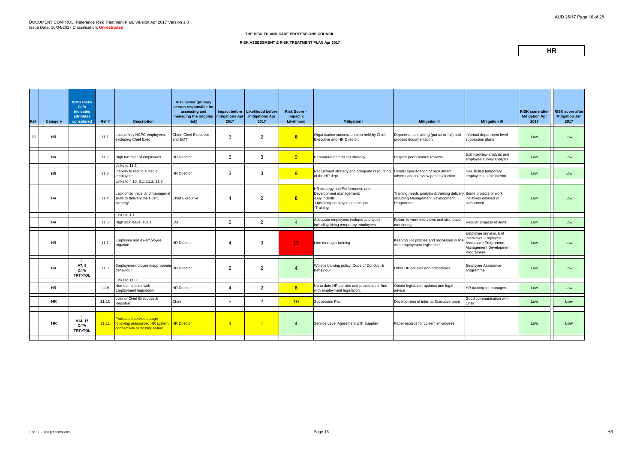| Ref | Category  | <b>ISMS Risks</b><br>C/I/A<br><b>indicates</b><br>attributes<br>considered | Ref#  | <b>Description</b>                                                                                            | <b>Risk owner (primary</b><br>person responsible for<br>assessing and<br>managing the ongoing   mitigations Apr<br>risk) | Impact before<br>2017 | <b>Likelihood before</b><br>mitigations Apr<br>2017 | <b>Risk Score =</b><br>Impact x<br>Likelihood | <b>Mitigation I</b>                                                                                                           | <b>Mitigation II</b>                                                                                               | <b>Mitigation III</b>                                                                                           | <b>RISK score after</b><br><b>Mitigation Apr</b><br>2017 | <b>RISK score after</b><br><b>Mitigation Jan</b><br>2017 |
|-----|-----------|----------------------------------------------------------------------------|-------|---------------------------------------------------------------------------------------------------------------|--------------------------------------------------------------------------------------------------------------------------|-----------------------|-----------------------------------------------------|-----------------------------------------------|-------------------------------------------------------------------------------------------------------------------------------|--------------------------------------------------------------------------------------------------------------------|-----------------------------------------------------------------------------------------------------------------|----------------------------------------------------------|----------------------------------------------------------|
| 11  | <b>HR</b> |                                                                            | 11.1  | Loss of key HCPC employees,<br>excluding Chief Exec                                                           | Chair, Chief Executive<br>and EMT                                                                                        | 3                     | $\overline{2}$                                      | 6 <sup>1</sup>                                | Organisation succession plan held by Chief<br>Executive and HR Director.                                                      | Departmental training (partial or full) and<br>process documentation                                               | Informal department level<br>succession plans                                                                   | Low                                                      | Low                                                      |
|     | <b>HR</b> |                                                                            | 11.2  | High turnover of employees                                                                                    | <b>HR Director</b>                                                                                                       | 3                     | 3                                                   | 9                                             | Remuneration and HR strategy                                                                                                  | Regular performance reviews                                                                                        | Exit interview analysis and<br>employee survey analysis                                                         | Low                                                      | Low                                                      |
|     | <b>HR</b> |                                                                            | 11.3  | Links to $11.3$<br>Inability to recruit suitable<br>employees                                                 | <b>HR Director</b>                                                                                                       | 3                     | 3                                                   | 9 <sup>°</sup>                                | Recruitment strategy and adequate resourcing<br>of the HR dept                                                                | Careful specification of recruitment<br>adverts and interview panel selection                                      | Hire skilled temporary<br>employees in the interim                                                              | Low                                                      | Low                                                      |
|     | <b>HR</b> |                                                                            | 11.4  | Links to 4.10, 6.1, 11.2, 11.8<br>Lack of technical and managerial<br>skills to delivery the HCPC<br>strategy | <b>Chief Executive</b>                                                                                                   | 4                     | $\overline{2}$                                      | 8                                             | HR strategy and Performance and<br>Development management;<br>-Buy in skills<br>-Upskilling employees on the job<br>-Training | Training needs analysis & training delivery Some projects or work<br>including Management Development<br>Programme | initiatives delayed or<br>outsourced                                                                            | Low                                                      | Low                                                      |
|     | <b>HR</b> |                                                                            | 11.6  | Links to 1.1<br>High sick leave levels                                                                        | <b>EMT</b>                                                                                                               | $\overline{2}$        | $\overline{2}$                                      | $\overline{4}$                                | Adequate employees (volume and type)                                                                                          | Return to work interviews and sick leave                                                                           | Regular progess reviews                                                                                         | Low                                                      | Low                                                      |
|     | <b>HR</b> |                                                                            | 11.7  | Employee and ex-employee<br>litigation                                                                        | <b>HR Director</b>                                                                                                       | 4                     | 3                                                   | 12 <sub>1</sub>                               | including hiring temporary employees<br>Line manager training                                                                 | monitoring<br>Keeping HR policies and processes in line<br>with employment legislation                             | Employee surveys, Exit<br>Interviews, Employee<br>Assistance Programme,<br>Management Development<br>Programme. | Low                                                      | Low                                                      |
|     | <b>HR</b> | A7, 8<br>C/IA<br>TRT>TOL                                                   | 11.8  | Employer/employee inappropriate HR Director<br>behaviour                                                      |                                                                                                                          | 2                     | $\overline{2}$                                      | $\overline{\mathbf{4}}$                       | Whistle blowing policy, Code of Conduct &<br>Behaviour                                                                        | Other HR policies and procedures                                                                                   | <b>Employee Assistance</b><br>programme                                                                         | Low                                                      | Low                                                      |
|     | <b>HR</b> |                                                                            | 11.9  | Links to 11.3<br>Non-compliance with<br><b>Employment legislation</b>                                         | <b>HR Director</b>                                                                                                       | 4                     | $\overline{2}$                                      | 8                                             | Up to date HR policies and processes in line<br>with employment legislation.                                                  | Obtain legislation updates and legal<br>advice                                                                     | HR training for managers                                                                                        | Low                                                      | Low                                                      |
|     | <b>HR</b> |                                                                            | 11.10 | Loss of Chief Executive &<br>Registrar                                                                        | Chair                                                                                                                    | $5\phantom{.0}$       | $\overline{2}$                                      | 10                                            | Succession Plan                                                                                                               | Development of internal Executive team                                                                             | Good communication with<br>Chair                                                                                | Low                                                      | Low                                                      |
|     | <b>HR</b> | A14, 15<br>C/I/A<br>TRT>TOL                                                | 11.11 | Protracted service outage<br>following outsourced HR system, HR Director<br>connectivity or hosting failure.  |                                                                                                                          | $\overline{4}$        | $\vert$ 1                                           | 4                                             | Service Level Agreement with Supplier                                                                                         | Paper records for current employees                                                                                |                                                                                                                 | Low                                                      | Low                                                      |
|     |           |                                                                            |       |                                                                                                               |                                                                                                                          |                       |                                                     |                                               |                                                                                                                               |                                                                                                                    |                                                                                                                 |                                                          |                                                          |

### **RISK ASSESSMENT & RISK TREATMENT PLAN Apr 2017**

**HR**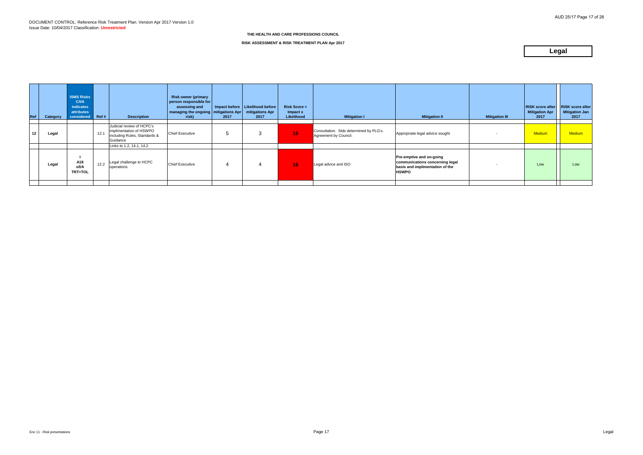| Ref | Category | <b>ISMS Risks</b><br><b>C/I/A</b><br>indicates<br>attributes<br>considered | REff# | <b>Description</b>                                                                               | <b>Risk owner (primary</b><br>person responsible for<br>assessing and<br>managing the ongoing   mitigations Apr<br>risk) | 2017 | Impact before   Likelihood before  <br>mitigations Apr<br>2017 | <b>Risk Score =</b><br>$Im$ pact $x$<br>Likelihood | <b>Mitigation I</b>                                              | <b>Mitigation II</b>                                                                                           | <b>Mitigation III</b> | <b>RISK score after</b><br><b>Mitigation Apr</b><br>2017 | <b>RISK score after</b><br><b>Mitigation Jan</b><br>2017 |
|-----|----------|----------------------------------------------------------------------------|-------|--------------------------------------------------------------------------------------------------|--------------------------------------------------------------------------------------------------------------------------|------|----------------------------------------------------------------|----------------------------------------------------|------------------------------------------------------------------|----------------------------------------------------------------------------------------------------------------|-----------------------|----------------------------------------------------------|----------------------------------------------------------|
| 12  | Legal    |                                                                            | 12.1  | Judicial review of HCPC's<br>implimentation of HSWPO<br>including Rules, Standards &<br>Guidance | <b>Chief Executive</b>                                                                                                   | 5    | 3                                                              | 15 <sub>1</sub>                                    | Consultation. Stds determined by PLG's.<br>Agreement by Council. | Appropriate legal advice sought                                                                                |                       | <b>Medium</b>                                            | <b>Medium</b>                                            |
|     |          |                                                                            |       | Links to 1.2, 14.1, 14.2                                                                         |                                                                                                                          |      |                                                                |                                                    |                                                                  |                                                                                                                |                       |                                                          |                                                          |
|     | Legal    | A18<br>x/I/A<br><b>TRT&gt;TOL</b>                                          | 12.2  | Legal challenge to HCPC<br>operations                                                            | <b>Chief Executive</b>                                                                                                   | 4    |                                                                | 16 <sup>°</sup>                                    | Legal advice and ISO                                             | Pre-emptive and on-going<br>communications concerning legal<br>basis and implimentation of the<br><b>HSWPO</b> |                       | Low                                                      | Low                                                      |
|     |          |                                                                            |       |                                                                                                  |                                                                                                                          |      |                                                                |                                                    |                                                                  |                                                                                                                |                       |                                                          |                                                          |

# **RISK ASSESSMENT & RISK TREATMENT PLAN Apr 2017**

# **Legal**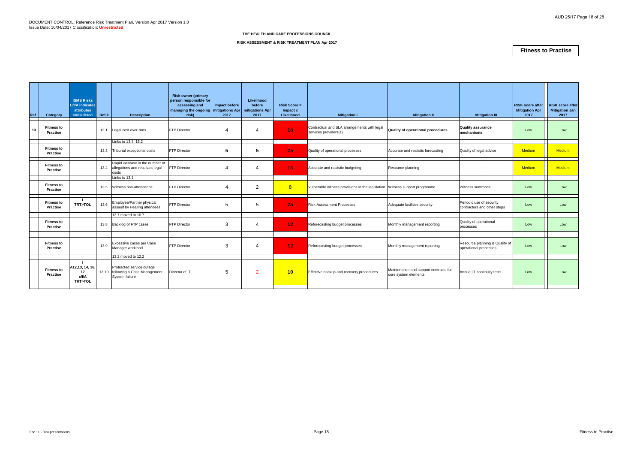| Ref | Category                             | <b>ISMS Risks</b><br><b>C/I/A</b> indicates<br>attributes<br>considered | Ref # | <b>Description</b>                                                               | <b>Risk owner (primary</b><br>person responsible for<br>assessing and<br>managing the ongoing mitigations Apr<br>risk) | Impact before<br>2017 | Likelihood<br>before<br>mitigations Apr<br>2017 | $Risk Score =$<br>Impact x<br>Likelihood | <b>Mitigation I</b>                                                        | <b>Mitigation II</b>                                          | <b>Mitigation III</b>                                   | <b>RISK</b> score after<br><b>Mitigation Apr</b><br>2017 | <b>RISK score after</b><br>Mitigation Jan<br>2017 |
|-----|--------------------------------------|-------------------------------------------------------------------------|-------|----------------------------------------------------------------------------------|------------------------------------------------------------------------------------------------------------------------|-----------------------|-------------------------------------------------|------------------------------------------|----------------------------------------------------------------------------|---------------------------------------------------------------|---------------------------------------------------------|----------------------------------------------------------|---------------------------------------------------|
| 13  | <b>Fitness to</b><br><b>Practise</b> |                                                                         | 13.1  | Legal cost over-runs                                                             | <b>FTP Director</b>                                                                                                    |                       | 4                                               | 16                                       | Contractual and SLA arrangements with legal<br>services providers(s)       | Quality of operational procedures                             | <b>Quality assurance</b><br><b>Imechanisms</b>          | Low                                                      | Low                                               |
|     |                                      |                                                                         |       | Links to 13.4, 15.2                                                              |                                                                                                                        |                       |                                                 |                                          |                                                                            |                                                               |                                                         |                                                          |                                                   |
|     | <b>Fitness to</b><br><b>Practise</b> |                                                                         | 13.3  | Tribunal exceptional costs                                                       | <b>FTP Director</b>                                                                                                    | 5                     | 5                                               | 25                                       | Quality of operational processes                                           | Accurate and realistic forecasting                            | Quality of legal advice                                 | <b>Medium</b>                                            | <b>Medium</b>                                     |
|     | <b>Fitness to</b><br><b>Practise</b> |                                                                         | 13.4  | Rapid increase in the number of<br>allegations and resultant legal<br>costs      | <b>FTP Director</b>                                                                                                    | 4                     | 4                                               | 16 <sup>°</sup>                          | Accurate and realistic budgeting                                           | Resource planning                                             |                                                         | <b>Medium</b>                                            | <b>Medium</b>                                     |
|     |                                      |                                                                         |       | Links to 13.1                                                                    |                                                                                                                        |                       |                                                 |                                          |                                                                            |                                                               |                                                         |                                                          |                                                   |
|     | <b>Fitness to</b><br>Practise        |                                                                         | 13.5  | Witness non-attendance                                                           | <b>FTP Director</b>                                                                                                    | 4                     | $\overline{2}$                                  | 8                                        | Vulnerable witness provisions in the legislation Witness support programme |                                                               | Witness summons                                         | Low                                                      | Low                                               |
|     | <b>Fitness to</b><br><b>Practise</b> | - 11<br>TRT>TOL                                                         | 13.6  | Employee/Partner physical<br>assault by Hearing attendees                        | <b>FTP</b> Director                                                                                                    | 5                     | 5                                               | 25                                       | <b>Risk Assessment Processes</b>                                           | Adequate facilities security                                  | Periodic use of security<br>contractors and other steps | Low                                                      | Low                                               |
|     |                                      |                                                                         |       | 13.7 moved to 10.7                                                               |                                                                                                                        |                       |                                                 |                                          |                                                                            |                                                               |                                                         |                                                          |                                                   |
|     | <b>Fitness to</b><br><b>Practise</b> |                                                                         | 13.8  | Backlog of FTP cases                                                             | <b>FTP Director</b>                                                                                                    | 3                     | 4                                               | 12 <sub>1</sub>                          | Reforecasting budget processes                                             | Monthly management reporting                                  | Quality of operational<br>processes                     | Low                                                      | Low                                               |
|     |                                      |                                                                         |       |                                                                                  |                                                                                                                        |                       |                                                 |                                          |                                                                            |                                                               |                                                         |                                                          |                                                   |
|     | <b>Fitness to</b><br><b>Practise</b> |                                                                         | 13.9  | Excessive cases per Case<br>Manager workload                                     | <b>FTP Director</b>                                                                                                    | 3                     | 4                                               | 12                                       | Reforecasting budget processes                                             | Monthly management reporting                                  | Resource planning & Quality of<br>operational processes | Low                                                      | Low                                               |
|     |                                      |                                                                         |       | 13.2 moved to 12.2                                                               |                                                                                                                        |                       |                                                 |                                          |                                                                            |                                                               |                                                         |                                                          |                                                   |
|     | <b>Fitness to</b><br><b>Practise</b> | A12,13, 14, 16,<br>17<br>x/l/A<br>TRT>TOL                               |       | Protracted service outage<br>13.10 following a Case Management<br>System failure | Director of IT                                                                                                         | 5                     | $\overline{2}$                                  | 10                                       | Effective backup and recovery procedures                                   | Maintenance and support contracts for<br>core system elements | Annual IT continuity tests                              | Low                                                      | Low                                               |
|     |                                      |                                                                         |       |                                                                                  |                                                                                                                        |                       |                                                 |                                          |                                                                            |                                                               |                                                         |                                                          |                                                   |

### **RISK ASSESSMENT & RISK TREATMENT PLAN Apr 2017**

# **Fitness to Practise**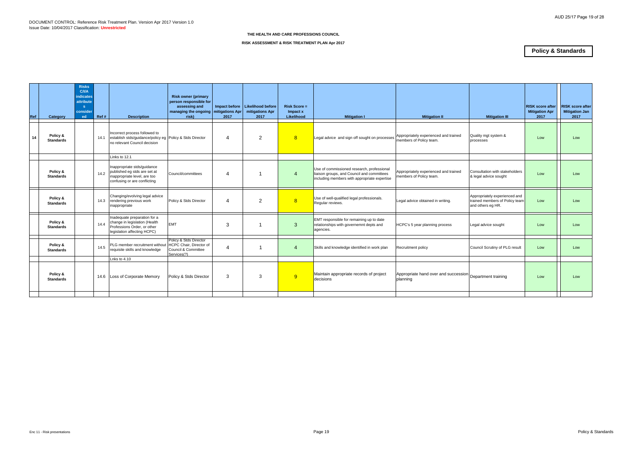| Ref | Category                     | <b>Risks</b><br><b>C/VA</b><br><b>indicates</b><br>attribute<br>-S<br>conside<br>ed | Ref # | <b>Description</b>                                                                                                          | <b>Risk owner (primary</b><br>person responsible for<br>assessing and<br>managing the ongoing mitigations Apr<br>risk) | 2017           | Impact before   Likelihood before<br>mitigations Apr<br>2017 | $Risk Score =$<br>Impact x<br>Likelihood | <b>Mitigation I</b>                                                                                                                      | <b>Mitigation II</b>                                             | <b>Mitigation III</b>                                                                | <b>RISK score after</b><br><b>Mitigation Apr</b><br>2017 | <b>RISK score after</b><br><b>Mitigation Jan</b><br>2017 |
|-----|------------------------------|-------------------------------------------------------------------------------------|-------|-----------------------------------------------------------------------------------------------------------------------------|------------------------------------------------------------------------------------------------------------------------|----------------|--------------------------------------------------------------|------------------------------------------|------------------------------------------------------------------------------------------------------------------------------------------|------------------------------------------------------------------|--------------------------------------------------------------------------------------|----------------------------------------------------------|----------------------------------------------------------|
| 14  | Policy &<br><b>Standards</b> |                                                                                     | 14.1  | Incorrect process followed to<br>establish stds/guidance/policy eg Policy & Stds Director<br>no relevant Council decision   |                                                                                                                        | 4              | 2                                                            | 8                                        | Legal advice and sign off sought on processes                                                                                            | Appropriately experienced and trained<br>members of Policy team. | Quality mgt system &<br>processes                                                    | Low                                                      | Low                                                      |
|     |                              |                                                                                     |       | Links to 12.1                                                                                                               |                                                                                                                        |                |                                                              |                                          |                                                                                                                                          |                                                                  |                                                                                      |                                                          |                                                          |
|     | Policy &<br><b>Standards</b> |                                                                                     | 14.2  | Inappropriate stds/guidance<br>published eg stds are set at<br>inappropriate level, are too<br>confusing or are conflicting | Council/committees                                                                                                     | 4              |                                                              | 4                                        | Use of commissioned research, professional<br>liaison groups, and Council and committees<br>including members with appropriate expertise | Appropriately experienced and trained<br>members of Policy team. | Consultation with stakeholders<br>& legal advice sought                              | Low                                                      | Low                                                      |
|     | Policy &<br><b>Standards</b> |                                                                                     | 14.3  | Changing/evolving legal advice<br>rendering previous work<br>inappropriate                                                  | Policy & Stds Director                                                                                                 | 4              | 2                                                            | 8                                        | Use of well-qualified legal professionals.<br>Regular reviews.                                                                           | Legal advice obtained in writing.                                | Appropriately experienced and<br>trained members of Policy team<br>and others eg HR. | Low                                                      | Low                                                      |
|     | Policy &<br><b>Standards</b> |                                                                                     | 14.4  | Inadequate preparation for a<br>change in legislation (Health<br>Professions Order, or other<br>legislation affecting HCPC) | <b>EMT</b>                                                                                                             | 3              |                                                              | 3                                        | EMT responsible for remaining up to date<br>relationships with governemnt depts and<br>agencies.                                         | HCPC's 5 year planning process                                   | Legal advice sought                                                                  | Low                                                      | Low                                                      |
|     | Policy &<br><b>Standards</b> |                                                                                     | 14.5  | PLG member recruitment without<br>requisite skills and knowledge                                                            | Policy & Stds Director<br>HCPC Chair, Director of<br>Council & Committee<br>Services(?)                                | $\overline{4}$ |                                                              | $\overline{4}$                           | Skills and knowledge identified in work plan                                                                                             | <b>Recruitment policy</b>                                        | Council Scrutiny of PLG result                                                       | Low                                                      | Low                                                      |
|     |                              |                                                                                     |       | Lnks to 4.10                                                                                                                |                                                                                                                        |                |                                                              |                                          |                                                                                                                                          |                                                                  |                                                                                      |                                                          |                                                          |
|     | Policy &<br><b>Standards</b> |                                                                                     |       | 14.6 Loss of Corporate Memory                                                                                               | Policy & Stds Director                                                                                                 | 3              | 3                                                            | 9                                        | Maintain appropriate records of project<br>decisions                                                                                     | Appropriate hand over and succession<br>planning                 | Department training                                                                  | Low                                                      | Low                                                      |
|     |                              |                                                                                     |       |                                                                                                                             |                                                                                                                        |                |                                                              |                                          |                                                                                                                                          |                                                                  |                                                                                      |                                                          |                                                          |

# **RISK ASSESSMENT & RISK TREATMENT PLAN Apr 2017**

# **Policy & Standards**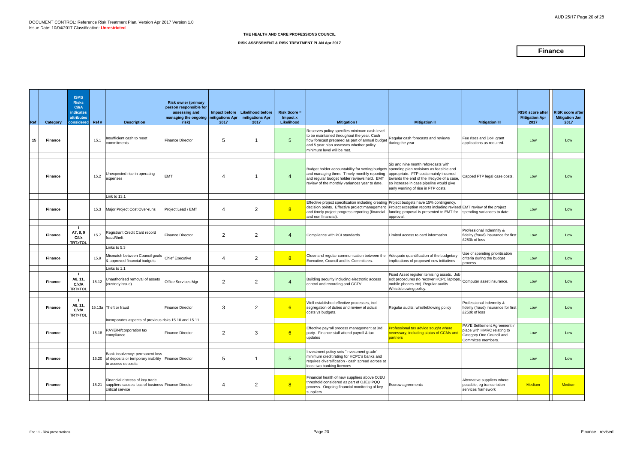| Ref | Category       | <b>ISMS</b><br><b>Risks</b><br><b>C/I/A</b><br><b>indicates</b><br>attributes<br>considered | Ref#  | <b>Description</b>                                                                                                 | <b>Risk owner (primary</b><br>person responsible for<br>assessing and<br>managing the ongoing   mitigations Apr<br>risk) | Impact before<br>2017 | <b>Likelihood before</b><br>mitigations Apr<br>2017 | <b>Risk Score =</b><br>Impact x<br>Likelihood | <b>Mitigation I</b>                                                                                                                                                                                                                     | <b>Mitigation II</b>                                                                                                                                                                                           | <b>Mitigation III</b>                                                                                         | <b>RISK score after</b><br><b>Mitigation Apr</b><br>2017 | <b>RISK score after</b><br><b>Mitigation Jan</b><br>2017 |
|-----|----------------|---------------------------------------------------------------------------------------------|-------|--------------------------------------------------------------------------------------------------------------------|--------------------------------------------------------------------------------------------------------------------------|-----------------------|-----------------------------------------------------|-----------------------------------------------|-----------------------------------------------------------------------------------------------------------------------------------------------------------------------------------------------------------------------------------------|----------------------------------------------------------------------------------------------------------------------------------------------------------------------------------------------------------------|---------------------------------------------------------------------------------------------------------------|----------------------------------------------------------|----------------------------------------------------------|
| 15  | <b>Finance</b> |                                                                                             | 15.1  | nsufficient cash to meet<br>commitments                                                                            | <b>Finance Director</b>                                                                                                  | 5                     |                                                     | 5                                             | Reserves policy specifies minimum cash level<br>to be maintained throughout the year. Cash<br>flow forecast prepared as part of annual budget<br>and 5 year plan assesses whether policy<br>minimum level will be met.                  | Regular cash forecasts and reviews<br>during the year                                                                                                                                                          | Fee rises and DoH grant<br>applications as required.                                                          | Low                                                      | Low                                                      |
|     | <b>Finance</b> |                                                                                             | 15.2  | <b>Jnexpected rise in operating</b><br>expenses                                                                    | <b>EMT</b>                                                                                                               | 4                     |                                                     | $\overline{4}$                                | Budget holder accountability for setting budgets spending plan revisions as feasible and<br>and managing them. Timely monthly reporting<br>and regular budget holder reviews held. EMT<br>review of the monthly variances year to date. | Six and nine month reforecasts with<br>appropriate. FTP costs mainly incurred<br>towards the end of the lifecycle of a case,<br>so increase in case pipeline would give<br>early warning of rise in FTP costs. | Capped FTP legal case costs.                                                                                  | Low                                                      | Low                                                      |
|     |                |                                                                                             |       | Link to 13.1                                                                                                       |                                                                                                                          |                       |                                                     |                                               |                                                                                                                                                                                                                                         |                                                                                                                                                                                                                |                                                                                                               |                                                          |                                                          |
|     | <b>Finance</b> |                                                                                             | 15.3  | Major Project Cost Over-runs                                                                                       | Project Lead / EMT                                                                                                       | 4                     | $\overline{2}$                                      | 8                                             | Effective project specification including creating Project budgets have 15% contingency.<br>decision points. Effective project management<br>and timely project progress reporting (financial<br>and non financial).                    | Project exception reports including revised EMT review of the project<br>funding proposal is presented to EMT for<br>approval.                                                                                 | spending variances to date                                                                                    | Low                                                      | Low                                                      |
|     | <b>Finance</b> | A7, 8, 9<br>C/1/x<br><b>TRT&gt;TOL</b>                                                      | 15.7  | Registrant Credit Card record<br>fraud/theft                                                                       | <b>Finance Director</b>                                                                                                  | 2                     | $\overline{2}$                                      | $\overline{4}$                                | Compliance with PCI standards.                                                                                                                                                                                                          | Limited access to card information                                                                                                                                                                             | Professional Indemnity &<br>fidelity (fraud) insurance for first<br>£250k of loss                             | Low                                                      | Low                                                      |
|     |                |                                                                                             |       | Links to 5.3                                                                                                       |                                                                                                                          |                       |                                                     |                                               |                                                                                                                                                                                                                                         |                                                                                                                                                                                                                |                                                                                                               |                                                          |                                                          |
|     | <b>Finance</b> |                                                                                             | 15.9  | Mismatch between Council goals<br>& approved financial budgets                                                     | <b>Chief Executive</b>                                                                                                   | 4                     | $\overline{2}$                                      | 8 <sup>°</sup>                                | Close and regular communication between the<br>Executive, Council and its Committees.                                                                                                                                                   | Adequate quantification of the budgetary<br>implications of proposed new initiatives                                                                                                                           | Jse of spending prioritisation<br>criteria during the budget<br>process                                       | Low                                                      | Low                                                      |
|     |                |                                                                                             |       | Links to 1.1                                                                                                       |                                                                                                                          |                       |                                                     |                                               |                                                                                                                                                                                                                                         |                                                                                                                                                                                                                |                                                                                                               |                                                          |                                                          |
|     | <b>Finance</b> | - 1<br>A8, 11,<br>C/x/A<br><b>TRT&gt;TOL</b>                                                | 15.12 | Unauthorised removal of assets<br>(custody issue)                                                                  | <b>Office Services Mgr</b>                                                                                               | 2                     | $\overline{2}$                                      | $\overline{4}$                                | Building security including electronic access<br>control and recording and CCTV.                                                                                                                                                        | Fixed Asset register itemising assets. Job<br>exit procedures (to recover HCPC laptops,<br>mobile phones etc). Regular audits.<br>Whistleblowing policy.                                                       | Computer asset insurance.                                                                                     | Low                                                      | Low                                                      |
|     |                |                                                                                             |       |                                                                                                                    |                                                                                                                          |                       |                                                     |                                               |                                                                                                                                                                                                                                         |                                                                                                                                                                                                                |                                                                                                               |                                                          |                                                          |
|     | <b>Finance</b> | - 1<br>A8, 11<br>C/x/A<br><b>TRT&gt;TOL</b>                                                 |       | 15.13a Theft or fraud                                                                                              | <b>Finance Director</b>                                                                                                  | 3                     | $\overline{a}$                                      | 6 <sup>1</sup>                                | Well established effective processes, incl<br>segregation of duties and review of actual<br>costs vs budgets.                                                                                                                           | Regular audits; whistleblowing policy                                                                                                                                                                          | Professional Indemnity &<br>fidelity (fraud) insurance for first<br>£250k of loss                             | Low                                                      | Low                                                      |
|     |                |                                                                                             |       | Incorporates aspects of previous risks 15.10 and 15.11                                                             |                                                                                                                          |                       |                                                     |                                               |                                                                                                                                                                                                                                         |                                                                                                                                                                                                                |                                                                                                               |                                                          |                                                          |
|     | Finance        |                                                                                             |       | 15.18 PAYE/NI/corporation tax                                                                                      | <b>Finance Director</b>                                                                                                  | $\overline{2}$        | 3                                                   | 6                                             | Effective payroll process management at 3rd<br>party. Finance staff attend payroll & tax<br>updates                                                                                                                                     | Professional tax advice sought where<br>necessary, including status of CCMs and<br>partners                                                                                                                    | PAYE Settlement Agreement in<br>place with HMRC relating to<br>Category One Council and<br>Committee members. | Low                                                      | Low                                                      |
|     | <b>Finance</b> |                                                                                             |       | Bank insolvency: permanent loss<br>15.20 of deposits or temporary inability Finance Director<br>to access deposits |                                                                                                                          | 5                     | -1                                                  | $5\phantom{.0}$                               | Investment policy sets "investment grade"<br>minimum credit rating for HCPC's banks and<br>requires diversification - cash spread across at<br>least two banking licences                                                               |                                                                                                                                                                                                                |                                                                                                               | Low                                                      | Low                                                      |
|     | <b>Finance</b> |                                                                                             | 15.21 | Financial distress of key trade<br>suppliers causes loss of business Finance Director<br>critical service          |                                                                                                                          | 4                     | $\overline{a}$                                      | 8                                             | Financial health of new suppliers above OJEU<br>threshold considered as part of OJEU PQQ<br>process. Ongoing financial monitoring of key<br>suppliers                                                                                   | Escrow agreements                                                                                                                                                                                              | Alternative suppliers where<br>possible, eg transcription<br>services framework                               | <b>Medium</b>                                            | <b>Medium</b>                                            |
|     |                |                                                                                             |       |                                                                                                                    |                                                                                                                          |                       |                                                     |                                               |                                                                                                                                                                                                                                         |                                                                                                                                                                                                                |                                                                                                               |                                                          |                                                          |

# **RISK ASSESSMENT & RISK TREATMENT PLAN Apr 2017**

# **Finance**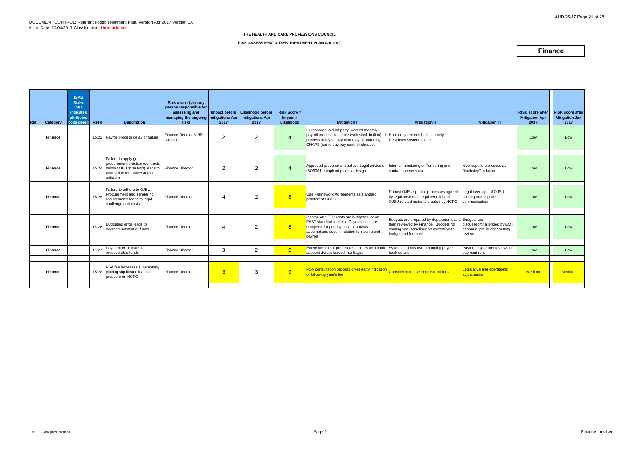### **RISK ASSESSMENT & RISK TREATMENT PLAN Apr 2017**

# **Finance**

| Ref | Category       | <b>ISMS</b><br><b>Risks</b><br><b>C/VA</b><br>indicates<br><b>attributes</b><br><b>considered</b> | Ref#  | <b>Description</b>                                                                                                                           | <b>Risk owner (primary</b><br>person responsible for<br>assessing and<br>managing the ongoing mitigations Apr<br>risk) | 2017           | Impact before   Likelihood before<br>mitigations Apr<br>2017 | <b>Risk Score =</b><br>Impact x<br>Likelihood | <b>Mitigation I</b>                                                                                                                                                                  | <b>Mitigation II</b>                                                                                                                                         | <b>Mitigation III</b>                                                 | <b>RISK score after</b><br><b>Mitigation Apr</b><br>2017 | <b>RISK score after</b><br><b>Mitigation Jan</b><br>2017 |
|-----|----------------|---------------------------------------------------------------------------------------------------|-------|----------------------------------------------------------------------------------------------------------------------------------------------|------------------------------------------------------------------------------------------------------------------------|----------------|--------------------------------------------------------------|-----------------------------------------------|--------------------------------------------------------------------------------------------------------------------------------------------------------------------------------------|--------------------------------------------------------------------------------------------------------------------------------------------------------------|-----------------------------------------------------------------------|----------------------------------------------------------|----------------------------------------------------------|
|     | <b>Finance</b> |                                                                                                   |       | 15.22 Payroll process delay or failure                                                                                                       | Finance Director & HR<br>Director                                                                                      | $\mathcal{P}$  | 2                                                            | 4                                             | Outsourced to third party. Agreed monthly<br>payroll process timetable (with slack built in).<br>process delayed, payment may be made by<br>CHAPS (same day payment) or cheque.      | If Hard copy records held securely.<br>Restricted system access.                                                                                             |                                                                       | Low                                                      | Low                                                      |
|     | <b>Finance</b> |                                                                                                   |       | Failure to apply good<br>procurement practice (contracts<br>15.24 below OJEU threshold) leads to<br>poor value for money and/or<br>criticism | Finance Director                                                                                                       | 2              | $\mathcal{P}$                                                | $\overline{A}$                                | Approved procurement policy. Legal advice on Internal monitoring of Tendering and<br>ISO9001 compliant process design.                                                               | contract process use.                                                                                                                                        | New suppliers process as<br>"backstop" to failure.                    | Low                                                      | Low                                                      |
|     | <b>Finance</b> |                                                                                                   | 15.25 | Failure to adhere to OJEU<br>Procurement and Tendering<br>requirements leads to legal<br>challenge and costs                                 | <b>Finance Director</b>                                                                                                |                | 2                                                            | 8                                             | Use Framework Agreements as standard<br>practise at HCPC                                                                                                                             | Robust OJEU specific processes agreed<br>by legal advisors. Legal oversight of<br>OJEU related material created by HCPC                                      | Legal oversight of OJEU<br>scoring and supplier<br>communication      | Low                                                      | Low                                                      |
|     | <b>Finance</b> |                                                                                                   | 15.26 | Budgeting error leads to<br>overcommitment of funds                                                                                          | <b>Finance Director</b>                                                                                                |                | $\mathcal{P}$                                                | 8                                             | Income and FTP costs are budgeted for on<br>FAST standard models. Payroll costs are<br>budgeted for post by post. Cautious<br>assumptions used in relation to income and<br>payroll. | Budgets are prepared by departments and Budgets are<br>then reviewed by Finance. Budgets for<br>coming year baselined vs current year<br>budget and forecast | discussed/challenged by EMT<br>at annual pre-budget setting<br>review | Low                                                      | Low                                                      |
|     | <b>Finance</b> |                                                                                                   | 15.27 | Payment error leads to<br>irrecoverable funds                                                                                                | <b>Finance Director</b>                                                                                                | 3              | 2                                                            | 6 <sup>°</sup>                                | Extensive use of preferred suppliers with bank<br>account details loaded into Sage.                                                                                                  | System controls over changing payee<br>bank details                                                                                                          | Payment signatory reviews of<br>payment runs                          | Low                                                      | Low                                                      |
|     | <b>Finance</b> |                                                                                                   |       | PSA fee increases substantially,<br>15.28 placing significant financial<br>pressure on HCPC                                                  | Finance Director                                                                                                       | $\overline{3}$ | 3                                                            | 9                                             | PSA consultation process gives early indication Consider increase in registrant fees<br>of following year's fee                                                                      |                                                                                                                                                              | Legislative and operational<br>adjustments                            | <b>Medium</b>                                            | <b>Medium</b>                                            |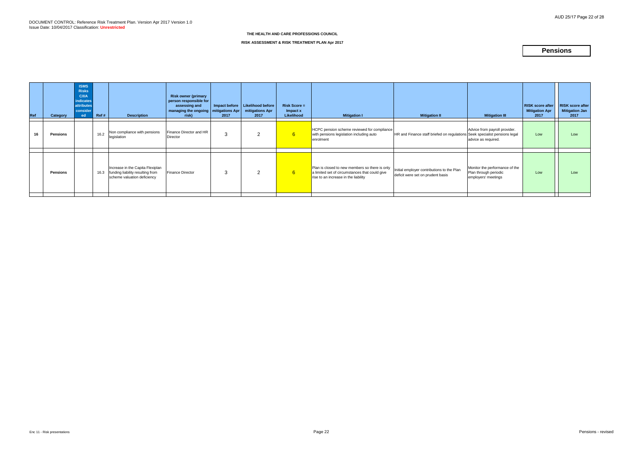| Ref | Category        | <b>ISMS</b><br><b>Risks</b><br><b>C/I/A</b><br><b>indicates</b><br><b>attributes</b><br>consider<br>ed | Ref# | <b>Description</b>                                                                                  | <b>Risk owner (primary</b><br>person responsible for<br>assessing and<br>managing the ongoing   mitigations Apr<br>risk) | Impact before<br>2017 | Likelihood before<br>mitigations Apr<br>2017 | <b>Risk Score =</b><br>Impact x<br>Likelihood | <b>Mitigation I</b>                                                                                                                      | <b>Mitigation II</b>                                                            | <b>Mitigation III</b>                                                          | <b>RISK score after</b><br><b>Mitigation Apr</b><br>2017 | <b>RISK score after</b><br>Mitigation Jan<br>2017 |
|-----|-----------------|--------------------------------------------------------------------------------------------------------|------|-----------------------------------------------------------------------------------------------------|--------------------------------------------------------------------------------------------------------------------------|-----------------------|----------------------------------------------|-----------------------------------------------|------------------------------------------------------------------------------------------------------------------------------------------|---------------------------------------------------------------------------------|--------------------------------------------------------------------------------|----------------------------------------------------------|---------------------------------------------------|
| 16  | <b>Pensions</b> |                                                                                                        | 16.2 | Non compliance with pensions<br>legislation                                                         | Finance Director and HR<br><b>Director</b>                                                                               | 3                     | $\overline{2}$                               | 6 <sup>1</sup>                                | HCPC pension scheme reviewed for compliance<br>with pensions legislation including auto<br>enrolment                                     | HR and Finance staff briefed on regulations Seek specialist pensions legal      | Advice from payroll provider.<br>advice as required.                           | Low                                                      | Low                                               |
|     |                 |                                                                                                        |      |                                                                                                     |                                                                                                                          |                       |                                              |                                               |                                                                                                                                          |                                                                                 |                                                                                |                                                          |                                                   |
|     | <b>Pensions</b> |                                                                                                        | 16.3 | Increase in the Capita Flexiplan<br>funding liability resulting from<br>scheme valuation deficiency | <b>Finance Director</b>                                                                                                  | 3                     | $\mathcal{P}$                                | $6^{\circ}$                                   | Plan is closed to new members so there is only<br>a limited set of circumstances that could give<br>rise to an increase in the liability | Initial employer contributions to the Plan<br>deficit were set on prudent basis | Monitor the performance of the<br>Plan through periodic<br>employers' meetings | Low                                                      | Low                                               |

### **RISK ASSESSMENT & RISK TREATMENT PLAN Apr 2017**

# **Pensions**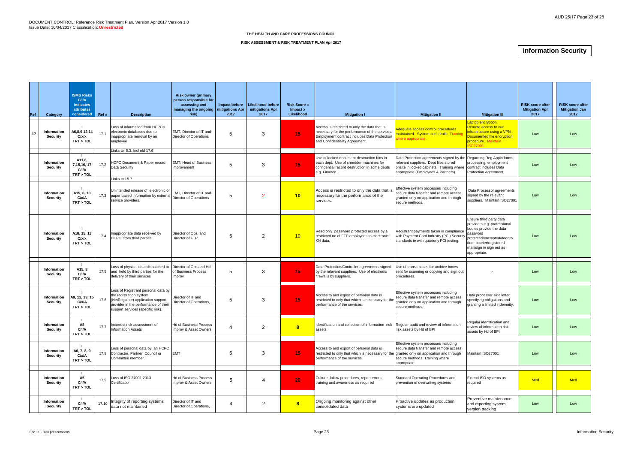| Ref | Category                              | <b>ISMS Risks</b><br>C/ <sub>II</sub><br>indicates<br>attributes<br>considered | Ref#  | <b>Description</b>                                                                                                                                                               | <b>Risk owner (primary</b><br>person responsible for<br>assessing and<br>managing the ongoing<br>risk) | Impact before<br>mitigations Apr<br>2017 | Likelihood before<br>mitigations Apr<br>2017 | <b>Risk Score =</b><br>Impact x<br>Likelihood | <b>Mitigation I</b>                                                                                                                                                              | <b>Mitigation II</b>                                                                                                                                                                           | <b>Mitigation III</b>                                                                                                                                                                               | <b>RISK score after</b><br><b>Mitigation Apr</b><br>2017 | <b>RISK score after</b><br><b>Mitigation Jan</b><br>2017 |
|-----|---------------------------------------|--------------------------------------------------------------------------------|-------|----------------------------------------------------------------------------------------------------------------------------------------------------------------------------------|--------------------------------------------------------------------------------------------------------|------------------------------------------|----------------------------------------------|-----------------------------------------------|----------------------------------------------------------------------------------------------------------------------------------------------------------------------------------|------------------------------------------------------------------------------------------------------------------------------------------------------------------------------------------------|-----------------------------------------------------------------------------------------------------------------------------------------------------------------------------------------------------|----------------------------------------------------------|----------------------------------------------------------|
| 17  | <b>Information</b><br><b>Security</b> | A6,8,9 12,14<br>C/x/x<br>TRT > TOL                                             | 17.1  | Loss of information from HCPC's<br>electronic databases due to<br>inappropriate removal by an<br>employee                                                                        | EMT, Director of IT and<br>Director of Operations                                                      | 5                                        | 3                                            | 15 <sub>1</sub>                               | Access is restricted to only the data that is<br>necessary for the performance of the services.<br>Employment contract includes Data Protection<br>and Confidentiality Agreement | dequate access control procedures<br>maintained. System audit trails. Training<br>nere appropriate.                                                                                            | aptop encryption.<br>Remote access to our<br>infrastructure using a VPN .<br>Documented file encryption<br>procedure Maintain<br>6027001                                                            | Low                                                      | Low                                                      |
|     |                                       |                                                                                |       | Links to 5.3. Incl old 17.6                                                                                                                                                      |                                                                                                        |                                          |                                              |                                               |                                                                                                                                                                                  |                                                                                                                                                                                                |                                                                                                                                                                                                     |                                                          |                                                          |
|     | <b>Information</b><br><b>Security</b> | A11,8,<br>7, 15, 16, 17<br>C/I/A<br>TRT > TOL                                  | 17.2  | <b>HCPC Document &amp; Paper record</b><br>Data Security                                                                                                                         | <b>EMT</b> ; Head of Business<br>Improvement                                                           |                                          | 3                                            | 15 <sub>1</sub>                               | Use of locked document destruction bins in<br>each dept. Use of shredder machines for<br>confidential record destruction in some depts<br>e.g. Finance.                          | Data Protection agreements signed by the Regarding Reg Appln forms<br>relevant suppliers. Dept files stored<br>onsite in locked cabinets. Training where<br>appropriate (Employees & Partners) | processing, employment<br>contract includes Data<br><b>Protection Agreement</b>                                                                                                                     | Low                                                      | Low                                                      |
|     |                                       |                                                                                |       | Links to 15.7                                                                                                                                                                    |                                                                                                        |                                          |                                              |                                               |                                                                                                                                                                                  |                                                                                                                                                                                                |                                                                                                                                                                                                     |                                                          |                                                          |
|     | <b>Information</b><br><b>Security</b> | A15, 8, 13<br>C/x/A<br>TRT > TOL                                               | 17.3  | Unintended release of electronic or<br>paper based information by externa<br>service providers.                                                                                  | EMT, Director of IT and<br>Director of Operations                                                      | .5                                       | $\mathcal{P}$                                | 10                                            | Access is restricted to only the data that is<br>necessary for the performance of the<br>services.                                                                               | Effective system processes including<br>secure data transfer and remote access<br>granted only on application and through<br>secure methods.                                                   | Data Processor agreements<br>signed by the relevant<br>suppliers. Maintain ISO27001                                                                                                                 | Low                                                      | Low                                                      |
|     | Information<br><b>Security</b>        | A18, 15, 13<br>C/x/x<br>TRT > TOL                                              | 17.4  | Inappropriate data received by<br>HCPC from third parties                                                                                                                        | Director of Ops, and<br>Director of FTP                                                                | 5                                        | 2                                            | 10                                            | Read only, password protected access by a<br>restricted no of FTP employees to electronic<br>KN data.                                                                            | Registrant payments taken in compliance<br>with Payment Card Industry (PCI) Security<br>standards ie with quarterly PCI testing.                                                               | Ensure third party data<br>providers e.g. professional<br>bodies provide the data<br>password<br>protected/encrypted/door to<br>door courier/registered<br>mail/sign in sign out as<br>appropriate. | Low                                                      | Low                                                      |
|     | Information<br><b>Security</b>        | A15, 8<br>C/I/A<br>TRT > TOL                                                   |       | Loss of physical data dispatched<br>17.5 and held by third parties for the<br>delivery of their services                                                                         | Director of Ops and Hd<br>of Business Process<br>Improv                                                | 5                                        | 3                                            | 15 <sub>1</sub>                               | Data Protection/Controller agreements signed<br>by the relevant suppliers. Use of electronic<br>firewalls by suppliers.                                                          | Use of transit cases for archive boxes<br>sent for scanning or copying and sign out<br>procedures.                                                                                             |                                                                                                                                                                                                     | Low                                                      | Low                                                      |
|     | Information<br><b>Security</b>        | A9, 12, 13, 15<br>C/x/A<br>TRT > TOL                                           | 17.6  | Loss of Registrant personal data by<br>the registration system<br>(NetRegulate) application support<br>provider in the performance of their<br>support services (specific risk). | Director of IT and<br>Director of Operations,                                                          |                                          | 3                                            | 15 <sub>1</sub>                               | Access to and export of personal data is<br>restricted to only that which is necessary for th<br>performance of the services.                                                    | Effective system processes including<br>secure data transfer and remote access<br>granted only on application and through<br>secure methods.                                                   | Data processor side letter<br>specifying obligations and<br>granting a limited indemnity.                                                                                                           | Low                                                      | Low                                                      |
|     | Information<br><b>Security</b>        | A8<br>C/I/A<br>TRT > TOL                                                       | 17.7  | Incorrect risk assessment of<br><b>Information Assets</b>                                                                                                                        | <b>Hd of Business Process</b><br>Improv & Asset Owners                                                 |                                          | $\overline{2}$                               | 8                                             | Identification and collection of information risk   Regular audit and review of information<br>assets                                                                            | risk assets by Hd of BPI                                                                                                                                                                       | Regular identification and<br>review of information risk<br>assets by Hd of BPI                                                                                                                     | Low                                                      | Low                                                      |
|     | Information<br><b>Security</b>        | A6, 7, 8, 9<br>C/x/A<br>TRT > TOL                                              | 17.8  | Loss of personal data by an HCPC<br>Contractor, Partner, Council or<br>Committee member.                                                                                         | <b>EMT</b>                                                                                             | 5                                        | 3                                            | 15                                            | Access to and export of personal data is<br>restricted to only that which is necessary for the granted only on application and through<br>performance of the services.           | Effective system processes including<br>secure data transfer and remote access<br>secure methods. Training where<br>appropriate.                                                               | Maintain ISO27001                                                                                                                                                                                   | Low                                                      | Low                                                      |
|     | Information<br><b>Security</b>        | A5<br>C/I/A<br>TRT > TOL                                                       | 17.9  | Loss of ISO 27001:2013<br>Certification                                                                                                                                          | <b>Hd of Business Process</b><br>Improv & Asset Owners                                                 | 5                                        | $\overline{\mathcal{L}}$                     | 20 <sub>2</sub>                               | Culture, follow procedures, report errors,<br>training and awareness as required                                                                                                 | Standard Operating Procedures and<br>prevention of overwriting systems                                                                                                                         | Extend ISO systems as<br>required                                                                                                                                                                   | Med                                                      | Med                                                      |
|     |                                       |                                                                                |       |                                                                                                                                                                                  |                                                                                                        |                                          |                                              |                                               |                                                                                                                                                                                  |                                                                                                                                                                                                |                                                                                                                                                                                                     |                                                          |                                                          |
|     | Information<br><b>Security</b>        | C/I/A<br>TRT > TOL                                                             | 17.10 | Integrity of reporting systems<br>data not maintained                                                                                                                            | Director of IT and<br>Director of Operations,                                                          | 4                                        | 2                                            | $\boldsymbol{8}$                              | Ongoing monitoring against other<br>consolidated data                                                                                                                            | Proactive updates as production<br>systems are updated                                                                                                                                         | Preventive maintenance<br>and reporting system<br>version tracking                                                                                                                                  | Low                                                      | Low                                                      |

### **RISK ASSESSMENT & RISK TREATMENT PLAN Apr 2017**

# **Information Security**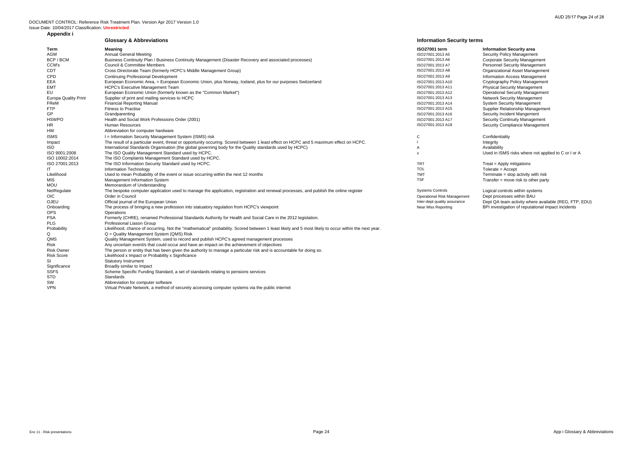Logical controls within systems Dept processes within BAU Dept QA team activity where available (REG, FTP, EDU) Onboarding The process of bringing a new profession into statuatory regulation from HCPC's viewpoint Near Miss Reporting BPI investigation of reputational impact incidents

|                             | <b>Glossary &amp; Abbreviations</b>                                                                                                                 | <b>Information Security terms</b>  |                                 |
|-----------------------------|-----------------------------------------------------------------------------------------------------------------------------------------------------|------------------------------------|---------------------------------|
| Term                        | Meaning                                                                                                                                             | ISO27001 term                      | <b>Information Security ar</b>  |
| AGM                         | <b>Annual General Meeting</b>                                                                                                                       | ISO27001:2013 A5                   | Security Policy Managen         |
| BCP / BCM                   | Business Continuity Plan / Business Continuity Management (Disaster Recovery and associated processes)                                              | ISO27001:2013 A6                   | <b>Corporate Security Mana</b>  |
| CCM's                       | <b>Council &amp; Committee Members</b>                                                                                                              | ISO27001:2013 A7                   | <b>Personnel Security Mana</b>  |
| CDT                         | Cross Directorate Team (formerly HCPC's Middle Management Group)                                                                                    | ISO27001:2013 A8                   | <b>Organizational Asset Ma</b>  |
| CPD                         | <b>Continuing Professional Development</b>                                                                                                          | ISO27001:2013 A9                   | <b>Information Access Mana</b>  |
| EEA                         | European Economic Area, = European Economic Union, plus Norway, Iceland, plus for our purposes Switzerland                                          | ISO27001:2013 A10                  | Cryptography Policy Mar         |
| <b>EMT</b>                  | <b>HCPC's Executive Management Team</b>                                                                                                             | ISO27001:2013 A11                  | <b>Physical Security Manag</b>  |
| EU                          | European Economic Union (formerly known as the "Common Market")                                                                                     | ISO27001:2013 A12                  | <b>Operational Security Mar</b> |
| <b>Europa Quality Print</b> | Supplier of print and mailing services to HCPC                                                                                                      | ISO27001:2013 A13                  | <b>Network Security Manag</b>   |
| FReM                        | <b>Financial Reporting Manual</b>                                                                                                                   | ISO27001:2013 A14                  | <b>System Security Manage</b>   |
| <b>FTP</b>                  | <b>Fitness to Practise</b>                                                                                                                          | ISO27001:2013 A15                  | Supplier Relationship Ma        |
| GP                          | Grandparenting                                                                                                                                      | ISO27001:2013 A16                  | Security Incident Manger        |
| <b>HSWPO</b>                | Health and Social Work Professions Order (2001)                                                                                                     | ISO27001:2013 A17                  | <b>Security Continuity Mana</b> |
| <b>HR</b>                   | <b>Human Resources</b>                                                                                                                              | ISO27001:2013 A18                  | Security Compliance Ma          |
| HW                          | Abbreviation for computer hardware                                                                                                                  |                                    |                                 |
| <b>ISMS</b>                 | I = Information Security Management System (ISMS) risk                                                                                              | С                                  | Confidentiality                 |
| Impact                      | The result of a particular event, threat or opportunity occuring. Scored between 1 least effect on HCPC and 5 maximum effect on HCPC.               |                                    | Integrity                       |
| ISO.                        | International Standards Organisation (the global governing body for the Quality standards used by HCPC)                                             | A                                  | Availability                    |
| ISO 9001:2008               | The ISO Quality Management Standard used by HCPC.                                                                                                   | X                                  | Used in ISMS risks wher         |
| ISO 10002:2014              | The ISO Complaints Management Standard used by HCPC.                                                                                                |                                    |                                 |
| ISO 27001:2013              | The ISO Information Security Standard used by HCPC.                                                                                                 | <b>TRT</b>                         | Treat = Apply mitigations       |
| ΙT                          | Information Technology                                                                                                                              | <b>TOL</b>                         | Tolerate = Accept               |
| Likelihood                  | Used to mean Probability of the event or issue occurring within the next 12 months                                                                  | <b>TMT</b>                         | Terminate = stop activity       |
| MIS                         | Management Information System                                                                                                                       | <b>TSF</b>                         | Transfer = move risk to $c$     |
| <b>MOU</b>                  | Memorandum of Understanding                                                                                                                         |                                    |                                 |
| NetRegulate                 | The bespoke computer application used to manage the application, registration and renewal processes, and publish the online register                | <b>Systems Controls</b>            | Logical controls within sy      |
| <b>OIC</b>                  | Order in Council                                                                                                                                    | <b>Operational Risk Management</b> | Dept processes within B         |
| OJEU                        | Official journal of the European Union                                                                                                              | Inter-dept quality assurance       | Dept QA team activity wh        |
| Onboarding                  | The process of bringing a new profession into statuatory regulation from HCPC's viewpoint                                                           | <b>Near Miss Reporting</b>         | BPI investigation of reput      |
| <b>OPS</b>                  | Operations                                                                                                                                          |                                    |                                 |
| <b>PSA</b>                  | Formerly (CHRE), renamed Professional Standards Authority for Health and Social Care in the 2012 legislation.                                       |                                    |                                 |
| <b>PLG</b>                  | Professional Liason Group                                                                                                                           |                                    |                                 |
| Probability                 | Likelihood, chance of occurring. Not the "mathematical" probability. Scored between 1 least likely and 5 most likely to occur within the next year. |                                    |                                 |
| Q                           | Q = Quality Management System (QMS) Risk                                                                                                            |                                    |                                 |
| QMS                         | Quality Management System, used to record and publish HCPC's agreed management processes                                                            |                                    |                                 |
| Risk                        | Any uncertain event/s that could occur and have an impact on the achievement of objectives                                                          |                                    |                                 |
| <b>Risk Owner</b>           | The person or entity that has been given the authority to manage a particular risk and is accountable for doing so.                                 |                                    |                                 |
| <b>Risk Score</b>           | Likelihood x Impact or Probability x Significance                                                                                                   |                                    |                                 |
| SI                          | <b>Statutory Instrument</b>                                                                                                                         |                                    |                                 |
| Significance                | Broadly similar to Impact                                                                                                                           |                                    |                                 |
| <b>SSFS</b>                 | Scheme Specific Funding Standard, a set of standards relating to pensions services                                                                  |                                    |                                 |
| <b>STD</b>                  | Standards                                                                                                                                           |                                    |                                 |

SW Abbreviation for computer software

VPN Virtual Private Network, a method of securely accessing computer systems via the public internet

# **Information Security area**

Security Policy Management Corporate Security Management Personnel Security Management Continued Team (Formerly Humagement Directorate Directorate Management Information Access Management Cryptography Policy Management Employeey Executive Management Operational Security Management Europa Quality Print Supplier of print and mailing services to HCPC ISO27001:2013 A13 Network Security Management **System Security Management** Supplier Relationship Management Security Incident Mangement Security Continuity Management Security Compliance Management

Used in ISMS risks where not applied to C or I or A

Terminate = stop activity with risk Transfer = move risk to other party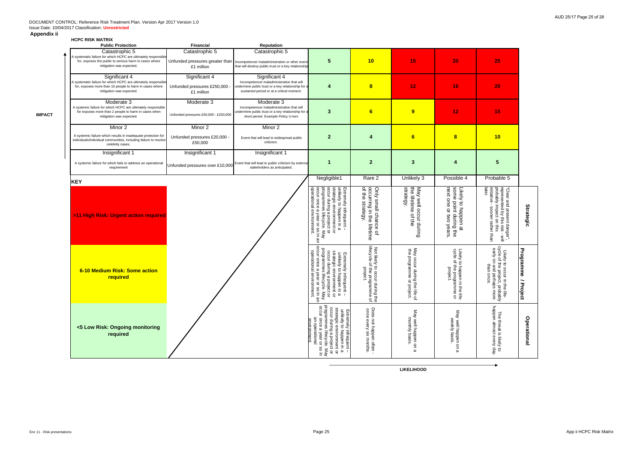# **HCPC RISK MATRIX**

**IMPACT**

| <b>Public Protection</b>                                                                                                                                               | <b>Financial</b>                                             | Reputation                                                                                                                                                    |                                                                                                                                                                                                                                                     |                                                                                                           |                                                                                                           |                                                                                                                     |                                                                                                                                                                                     |                                   |
|------------------------------------------------------------------------------------------------------------------------------------------------------------------------|--------------------------------------------------------------|---------------------------------------------------------------------------------------------------------------------------------------------------------------|-----------------------------------------------------------------------------------------------------------------------------------------------------------------------------------------------------------------------------------------------------|-----------------------------------------------------------------------------------------------------------|-----------------------------------------------------------------------------------------------------------|---------------------------------------------------------------------------------------------------------------------|-------------------------------------------------------------------------------------------------------------------------------------------------------------------------------------|-----------------------------------|
| Catastrophic 5<br>A systematic failure for which HCPC are ultimately responsible<br>for, exposes the public to serious harm in cases where<br>mitigation was expected. | Catastrophic 5<br>£1 million                                 | Catastrophic 5<br>Unfunded pressures greater than   Incompetence/ maladministration or other event<br>that will destroy public trust or a key relationship    | 5                                                                                                                                                                                                                                                   | 10                                                                                                        | 15                                                                                                        | 20                                                                                                                  | 25                                                                                                                                                                                  |                                   |
| Significant 4<br>A systematic failure for which HCPC are ultimately responsible<br>for, exposes more than 10 people to harm in cases where<br>mitigation was expected. | Significant 4<br>Unfunded pressures £250,000 -<br>£1 million | Significant 4<br>Incompetence/ maladministration that will<br>undermine public trust or a key relationship for a<br>sustained period or at a critical moment. | 4                                                                                                                                                                                                                                                   | $\bf{8}$                                                                                                  | 12                                                                                                        | 16                                                                                                                  | 20                                                                                                                                                                                  |                                   |
| Moderate 3<br>A systemic failure for which HCPC are ultimately responsible<br>for exposes more than 2 people to harm in cases when<br>mitigation was expected.         | Moderate 3<br>Unfunded pressures £50,000 - £250,000          | Moderate 3<br>Incompetence/ maladministration that will<br>undermine public trust or a key relationship for a<br>short period. Example Policy U-turn          | 3                                                                                                                                                                                                                                                   | 6                                                                                                         | $\overline{9}$                                                                                            | 12                                                                                                                  | 15                                                                                                                                                                                  |                                   |
| Minor 2                                                                                                                                                                | Minor 2                                                      | Minor 2                                                                                                                                                       |                                                                                                                                                                                                                                                     |                                                                                                           |                                                                                                           |                                                                                                                     |                                                                                                                                                                                     |                                   |
| A systemic failure which results in inadequate protection for<br>individuals/individual communities, including failure to resolve<br>celebrity cases.                  | Unfunded pressures £20,000 -<br>£50,000                      | Event that will lead to widespread public<br>criticism.                                                                                                       | $\mathbf{2}$                                                                                                                                                                                                                                        | $\boldsymbol{4}$                                                                                          | 6                                                                                                         | $\overline{\mathbf{8}}$                                                                                             | 10                                                                                                                                                                                  |                                   |
| Insignificant 1<br>A systemic failure for which fails to address an operational<br>requirement                                                                         | Insignificant 1<br>Unfunded pressures over £10,000           | Insignificant 1<br>Event that will lead to public criticism by external<br>stakeholders as anticipated.                                                       |                                                                                                                                                                                                                                                     | $\overline{2}$                                                                                            | $\mathbf{3}$                                                                                              | 4                                                                                                                   | 5                                                                                                                                                                                   |                                   |
| <b>KEY</b>                                                                                                                                                             |                                                              |                                                                                                                                                               | Negligible1                                                                                                                                                                                                                                         | Rare 2                                                                                                    | Unlikely 3                                                                                                | Possible 4                                                                                                          | Probable 5                                                                                                                                                                          |                                   |
| >11 High Risk: Urgent action required                                                                                                                                  |                                                              |                                                                                                                                                               | strategic environment or<br>occur during a project or<br>programmes lifecycle. May<br>Extremely infrequent –<br>unlikely to happen in a<br>occur once a year or so i<br>operational environment.<br>occur once<br>year or so in an                  | occurring in the<br>of the strategy.<br>Only small chance<br>strategy.<br>lifetime<br>$\overline{\sigma}$ | May well occur during<br>the lifetime of the<br>strategy.                                                 | next one<br>Likely to happen at<br>some point during the<br>Or two<br>years.                                        | later.<br>"Clear and present danger",<br>represented by this risk - will<br>probably impact on this<br>initiative - sooner rather than<br>sooner rather than<br>$\overset{\leq}{=}$ | <b>Strategic</b>                  |
| 6-10 Medium Risk: Some action<br>required                                                                                                                              |                                                              |                                                                                                                                                               | programmes lifecycl<br>occur once a year or<br>operational environ<br>unlikely to happen in a<br>strategic environment or<br>occur during a project or<br>programmes lifecycle. May<br>Extremely infrequent<br>$\overline{a}$<br>nment.<br>so in an | lifecyde<br>Not likely to occur du<br> lifecycle of the progra<br> project.<br><b>Juring the</b>          | May<br>the<br>y occur during <sup>1</sup><br>programme or<br>≛<br>$\Rightarrow$<br>he life of<br>project. | Likely<br>cyde<br>$rac{a}{a}$<br>o happen i<br>f the progr:<br>project.<br>$\overline{5}$<br>ற்<br>mme<br>the life- | elovo<br>ycle of the project, probably<br>early on and perhaps more<br>Likely to occur in t<br>sycle of the project,<br>than once<br>i the life-<br>t, probably                     | Programme<br>$\vec{r}$<br>'roject |
| <5 Low Risk: Ongoing monitoring<br>required                                                                                                                            |                                                              |                                                                                                                                                               | occur during a project or<br>programmes lifecycle. Ma<br>occur once a year or so in<br>strategic environment or<br>unlikely to happen in a<br>xtremely<br>an operational<br>environmen<br>infrequent<br>May                                         | Does not happen often ·<br>once every six months.<br>$\mathbf{I}$                                         | May well happen on<br>monthly basis.<br>$\omega$                                                          | May well happen on<br>weekly basis<br>മ                                                                             | happen almost every day.<br>The threat is likely<br>$\vec{c}$                                                                                                                       | Operational                       |

**LIKELIHOOD**

 $\rightarrow$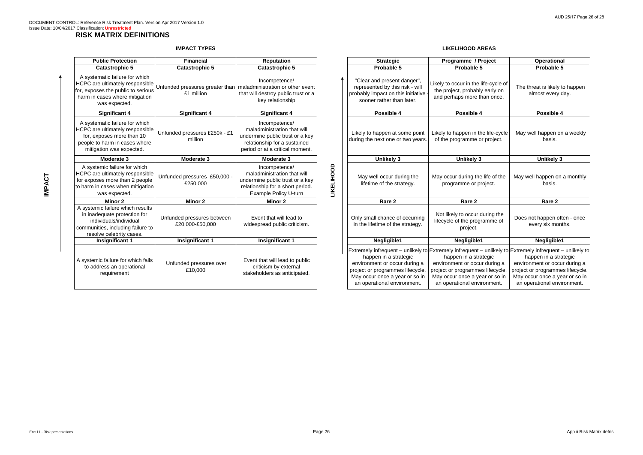# **RISK MATRIX DEFINITIONS**

# **IMPACT TYPES**

# **LIKELIHOOD AREAS**

| <b>Public Protection</b>                                                                                                                                    | <b>Financial</b>                              | <b>Reputation</b>                                                                                                                                   |                   | <b>Strategic</b>                                                                                                                                            | Programme / Project                                                                                                                                                                                                                                         | Operational                                                                                                      |  |
|-------------------------------------------------------------------------------------------------------------------------------------------------------------|-----------------------------------------------|-----------------------------------------------------------------------------------------------------------------------------------------------------|-------------------|-------------------------------------------------------------------------------------------------------------------------------------------------------------|-------------------------------------------------------------------------------------------------------------------------------------------------------------------------------------------------------------------------------------------------------------|------------------------------------------------------------------------------------------------------------------|--|
| <b>Catastrophic 5</b>                                                                                                                                       | <b>Catastrophic 5</b>                         | <b>Catastrophic 5</b>                                                                                                                               |                   | Probable 5                                                                                                                                                  | Probable 5                                                                                                                                                                                                                                                  | Probable 5                                                                                                       |  |
| A systematic failure for which<br>HCPC are ultimately responsible<br>for, exposes the public to serious<br>harm in cases where mitigation<br>was expected.  | £1 million                                    | Incompetence/<br>Unfunded pressures greater than   maladministration or other event<br>that will destroy public trust or a<br>key relationship      |                   | "Clear and present danger",<br>represented by this risk - will<br>probably impact on this initiative<br>sooner rather than later.                           | Likely to occur in the life-cycle of<br>the project, probably early on<br>and perhaps more than once.                                                                                                                                                       | The threat is likely to<br>almost every d                                                                        |  |
| <b>Significant 4</b>                                                                                                                                        | <b>Significant 4</b>                          | <b>Significant 4</b>                                                                                                                                |                   | Possible 4                                                                                                                                                  | Possible 4                                                                                                                                                                                                                                                  | Possible 4                                                                                                       |  |
| A systematic failure for which<br>HCPC are ultimately responsible<br>for, exposes more than 10<br>people to harm in cases where<br>mitigation was expected. | Unfunded pressures £250k - £1<br>million      | Incompetence/<br>maladministration that will<br>undermine public trust or a key<br>relationship for a sustained<br>period or at a critical moment.  |                   | Likely to happen at some point<br>during the next one or two years.                                                                                         | Likely to happen in the life-cycle<br>of the programme or project.                                                                                                                                                                                          | May well happen on<br>basis.                                                                                     |  |
| <b>Moderate 3</b>                                                                                                                                           | Moderate 3<br><b>Moderate 3</b>               |                                                                                                                                                     |                   | <b>Unlikely 3</b>                                                                                                                                           | <b>Unlikely 3</b>                                                                                                                                                                                                                                           | <b>Unlikely 3</b>                                                                                                |  |
| A systemic failure for which<br>HCPC are ultimately responsible<br>for exposes more than 2 people<br>to harm in cases when mitigation<br>was expected.      | Unfunded pressures £50,000 -<br>£250,000      | Incompetence/<br>maladministration that will<br>undermine public trust or a key<br>relationship for a short period.<br><b>Example Policy U-turn</b> | <b>LIKELIHOOD</b> | May well occur during the<br>lifetime of the strategy.                                                                                                      | May occur during the life of the<br>programme or project.                                                                                                                                                                                                   | May well happen on a<br>basis.                                                                                   |  |
| Minor 2                                                                                                                                                     | <b>Minor 2</b>                                | <b>Minor 2</b>                                                                                                                                      |                   | Rare 2                                                                                                                                                      | Rare 2                                                                                                                                                                                                                                                      | Rare 2                                                                                                           |  |
| A systemic failure which results<br>in inadequate protection for<br>individuals/individual<br>communities, including failure to<br>resolve celebrity cases. | Unfunded pressures between<br>£20,000-£50,000 | Event that will lead to<br>widespread public criticism.                                                                                             |                   | Only small chance of occurring<br>in the lifetime of the strategy.                                                                                          | Not likely to occur during the<br>lifecycle of the programme of<br>project.                                                                                                                                                                                 | Does not happen ofte<br>every six mont                                                                           |  |
| <b>Insignificant 1</b>                                                                                                                                      | <b>Insignificant 1</b>                        | <b>Insignificant 1</b>                                                                                                                              |                   | Negligible1                                                                                                                                                 | Negligible1                                                                                                                                                                                                                                                 | Negligible1                                                                                                      |  |
| A systemic failure for which fails<br>to address an operational<br>requirement                                                                              | Unfunded pressures over<br>£10,000            | Event that will lead to public<br>criticism by external<br>stakeholders as anticipated.                                                             |                   | happen in a strategic<br>environment or occur during a<br>project or programmes lifecycle.<br>May occur once a year or so in<br>an operational environment. | Extremely infrequent - unlikely to Extremely infrequent - unlikely to Extremely infrequent -<br>happen in a strategic<br>environment or occur during a<br>project or programmes lifecycle.<br>May occur once a year or so in<br>an operational environment. | happen in a stra<br>environment or occu<br>project or programme:<br>May occur once a yea<br>an operational envir |  |

| <b>blic Protection</b>                                                                                                       | <b>Financial</b>                                                               | <b>Reputation</b>                                                                                                                                  |                   | <b>Strategic</b>                                                                                                                                                                                                                                                        | Programme / Project                                                                                                                                         | <b>Operational</b>                                                                                                                                          |  |  |
|------------------------------------------------------------------------------------------------------------------------------|--------------------------------------------------------------------------------|----------------------------------------------------------------------------------------------------------------------------------------------------|-------------------|-------------------------------------------------------------------------------------------------------------------------------------------------------------------------------------------------------------------------------------------------------------------------|-------------------------------------------------------------------------------------------------------------------------------------------------------------|-------------------------------------------------------------------------------------------------------------------------------------------------------------|--|--|
| atastrophic 5                                                                                                                | <b>Catastrophic 5</b>                                                          | <b>Catastrophic 5</b>                                                                                                                              |                   | Probable 5                                                                                                                                                                                                                                                              | Probable 5                                                                                                                                                  | Probable 5                                                                                                                                                  |  |  |
| natic failure for which<br>e ultimately responsible<br>es the public to serious<br>cases where mitigation<br>was expected.   | Unfunded pressures greater than maladministration or other event<br>£1 million | Incompetence/<br>that will destroy public trust or a<br>key relationship                                                                           |                   | "Clear and present danger",<br>represented by this risk - will<br>probably impact on this initiative<br>sooner rather than later.                                                                                                                                       | Likely to occur in the life-cycle of<br>the project, probably early on<br>and perhaps more than once.                                                       | The threat is likely to happen<br>almost every day.                                                                                                         |  |  |
| Significant 4                                                                                                                | <b>Significant 4</b>                                                           | <b>Significant 4</b>                                                                                                                               |                   | Possible 4                                                                                                                                                                                                                                                              | Possible 4                                                                                                                                                  | Possible 4                                                                                                                                                  |  |  |
| natic failure for which<br>e ultimately responsible<br>poses more than 10<br>harm in cases where<br>ition was expected.      | Unfunded pressures £250k - £1<br>million                                       | Incompetence/<br>maladministration that will<br>undermine public trust or a key<br>relationship for a sustained<br>period or at a critical moment. |                   | Likely to happen at some point<br>during the next one or two years.                                                                                                                                                                                                     | Likely to happen in the life-cycle<br>of the programme or project.                                                                                          | May well happen on a weekly<br>basis.                                                                                                                       |  |  |
| Moderate 3                                                                                                                   | Moderate 3                                                                     | Moderate 3                                                                                                                                         |                   | <b>Unlikely 3</b>                                                                                                                                                                                                                                                       | <b>Unlikely 3</b>                                                                                                                                           | <b>Unlikely 3</b>                                                                                                                                           |  |  |
| mic failure for which<br>e ultimately responsible<br>es more than 2 people<br>cases when mitigation<br>was expected.         | Unfunded pressures £50,000<br>£250,000                                         | Incompetence/<br>maladministration that will<br>undermine public trust or a key<br>relationship for a short period.<br>Example Policy U-turn       | <b>LIKELIHOOD</b> | May well occur during the<br>lifetime of the strategy.                                                                                                                                                                                                                  | May occur during the life of the<br>programme or project.                                                                                                   | May well happen on a monthly<br>basis.                                                                                                                      |  |  |
| <b>Minor 2</b>                                                                                                               | <b>Minor 2</b>                                                                 | <b>Minor 2</b>                                                                                                                                     |                   | Rare 2                                                                                                                                                                                                                                                                  | Rare 2                                                                                                                                                      | Rare 2                                                                                                                                                      |  |  |
| ic failure which results<br>equate protection for<br>viduals/individual<br>ties, including failure to<br>ve celebrity cases. | Unfunded pressures between<br>£20,000-£50,000                                  | Event that will lead to<br>widespread public criticism.                                                                                            |                   | Only small chance of occurring<br>in the lifetime of the strategy.                                                                                                                                                                                                      | Not likely to occur during the<br>lifecycle of the programme of<br>project.                                                                                 | Does not happen often - once<br>every six months.                                                                                                           |  |  |
| nsignificant 1                                                                                                               | <b>Insignificant 1</b>                                                         | <b>Insignificant 1</b>                                                                                                                             |                   | Negligible1                                                                                                                                                                                                                                                             | Negligible1                                                                                                                                                 | Negligible1                                                                                                                                                 |  |  |
| ic failure for which fails<br>ress an operational<br>requirement                                                             | Unfunded pressures over<br>£10,000                                             | Event that will lead to public<br>criticism by external<br>stakeholders as anticipated.                                                            |                   | Extremely infrequent – unlikely to Extremely infrequent – unlikely to Extremely infrequent – unlikely to<br>happen in a strategic<br>environment or occur during a<br>project or programmes lifecycle.<br>May occur once a year or so in<br>an operational environment. | happen in a strategic<br>environment or occur during a<br>project or programmes lifecycle.<br>May occur once a year or so in<br>an operational environment. | happen in a strategic<br>environment or occur during a<br>project or programmes lifecycle.<br>May occur once a year or so in<br>an operational environment. |  |  |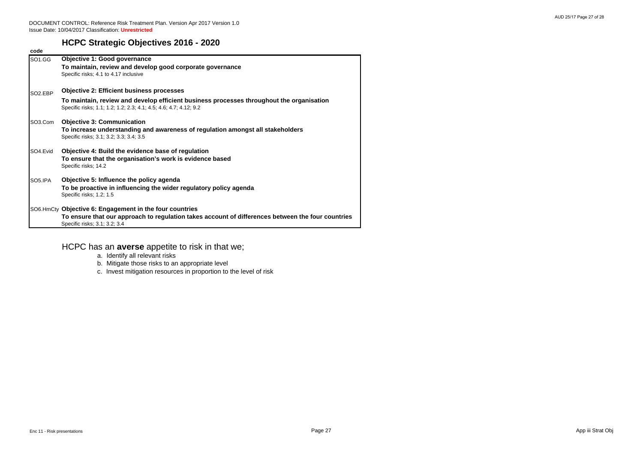# **HCPC Strategic Objectives 2016 - 2020**

| code                 |                                                                                                                                                                                               |
|----------------------|-----------------------------------------------------------------------------------------------------------------------------------------------------------------------------------------------|
| SO1.GG               | <b>Objective 1: Good governance</b><br>To maintain, review and develop good corporate governance<br>Specific risks; 4.1 to 4.17 inclusive                                                     |
| SO <sub>2</sub> .EBP | <b>Objective 2: Efficient business processes</b>                                                                                                                                              |
|                      | To maintain, review and develop efficient business processes throughout the organisation<br>Specific risks; 1.1; 1.2; 1.2; 2.3; 4.1; 4.5; 4.6; 4.7; 4.12; 9.2                                 |
| SO3.Com              | <b>Objective 3: Communication</b><br>To increase understanding and awareness of regulation amongst all stakeholders<br>Specific risks; 3.1; 3.2; 3.3; 3.4; 3.5                                |
| SO4.Evid             | Objective 4: Build the evidence base of regulation<br>To ensure that the organisation's work is evidence based<br>Specific risks; 14.2                                                        |
| SO5.IPA              | Objective 5: Influence the policy agenda<br>To be proactive in influencing the wider regulatory policy agenda<br>Specific risks; 1.2; 1.5                                                     |
|                      | SO6.HmCty Objective 6: Engagement in the four countries<br>To ensure that our approach to regulation takes account of differences between the four countries<br>Specific risks; 3.1; 3.2; 3.4 |

# HCPC has an **averse** appetite to risk in that we;

- a. Identif y all relevant risks
- b. Miti gate those risks to an appropriate level
- c. Invest miti gation resources in proportion to the level of risk